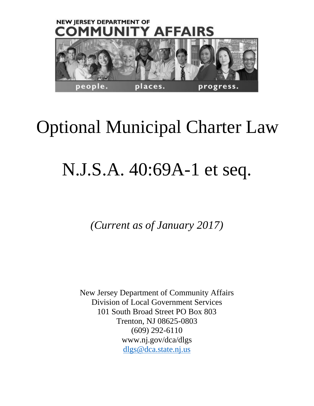

# Optional Municipal Charter Law

# N.J.S.A. 40:69A-1 et seq.

*(Current as of January 2017)* 

New Jersey Department of Community Affairs Division of Local Government Services 101 South Broad Street PO Box 803 Trenton, NJ 08625-0803 (609) 292-6110 www.nj.gov/dca/dlgs [dlgs@dca.state.nj.us](mailto:dlgs@dca.state.nj.us)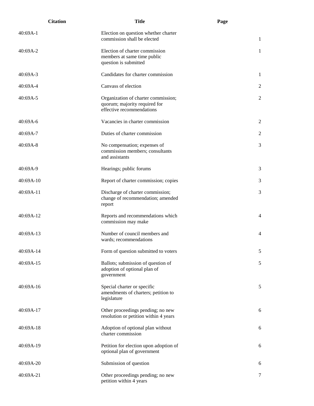| <b>Citation</b> | <b>Title</b>                                                                                      | Page           |
|-----------------|---------------------------------------------------------------------------------------------------|----------------|
| 40:69A-1        | Election on question whether charter<br>commission shall be elected                               | 1              |
| $40:69A-2$      | Election of charter commission<br>members at same time public<br>question is submitted            | 1              |
| $40:69A-3$      | Candidates for charter commission                                                                 | 1              |
| 40:69A-4        | Canvass of election                                                                               | $\overline{2}$ |
| $40:69A-5$      | Organization of charter commission;<br>quorum; majority required for<br>effective recommendations | $\overline{c}$ |
| 40:69A-6        | Vacancies in charter commission                                                                   | $\overline{c}$ |
| $40:69A-7$      | Duties of charter commission                                                                      | 2              |
| $40:69A-8$      | No compensation; expenses of<br>commission members; consultants<br>and assistants                 | 3              |
| 40:69A-9        | Hearings; public forums                                                                           | 3              |
| 40:69A-10       | Report of charter commission; copies                                                              | 3              |
| 40:69A-11       | Discharge of charter commission;<br>change of recommendation; amended<br>report                   | 3              |
| 40:69A-12       | Reports and recommendations which<br>commission may make                                          | 4              |
| $40:69A-13$     | Number of council members and<br>wards; recommendations                                           | $\overline{4}$ |
| 40:69A-14       | Form of question submitted to voters                                                              | 5              |
| 40:69A-15       | Ballots; submission of question of<br>adoption of optional plan of<br>government                  | 5              |
| $40:69A-16$     | Special charter or specific<br>amendments of charters; petition to<br>legislature                 | 5              |
| 40:69A-17       | Other proceedings pending; no new<br>resolution or petition within 4 years                        | 6              |
| 40:69A-18       | Adoption of optional plan without<br>charter commission                                           | 6              |
| 40:69A-19       | Petition for election upon adoption of<br>optional plan of government                             | 6              |
| 40:69A-20       | Submission of question                                                                            | 6              |
| 40:69A-21       | Other proceedings pending; no new<br>petition within 4 years                                      | 7              |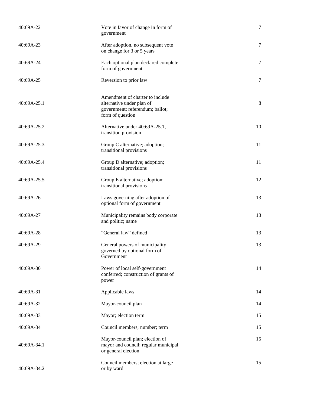| 40:69A-22   | Vote in favor of change in form of<br>government                                                                    | $\tau$  |
|-------------|---------------------------------------------------------------------------------------------------------------------|---------|
| 40:69A-23   | After adoption, no subsequent vote<br>on change for 3 or 5 years                                                    | $\tau$  |
| 40:69A-24   | Each optional plan declared complete<br>form of government                                                          | 7       |
| $40:69A-25$ | Reversion to prior law                                                                                              | $\tau$  |
| 40:69A-25.1 | Amendment of charter to include<br>alternative under plan of<br>government; referendum; ballot;<br>form of question | $\,8\,$ |
| 40:69A-25.2 | Alternative under 40:69A-25.1,<br>transition provision                                                              | 10      |
| 40:69A-25.3 | Group C alternative; adoption;<br>transitional provisions                                                           | 11      |
| 40:69A-25.4 | Group D alternative; adoption;<br>transitional provisions                                                           | 11      |
| 40:69A-25.5 | Group E alternative; adoption;<br>transitional provisions                                                           | 12      |
| 40:69A-26   | Laws governing after adoption of<br>optional form of government                                                     | 13      |
| 40:69A-27   | Municipality remains body corporate<br>and politic; name                                                            | 13      |
| 40:69A-28   | "General law" defined                                                                                               | 13      |
| 40:69A-29   | General powers of municipality<br>governed by optional form of<br>Government                                        | 13      |
| 40:69A-30   | Power of local self-government<br>conferred; construction of grants of<br>power                                     | 14      |
| 40:69A-31   | Applicable laws                                                                                                     | 14      |
| 40:69A-32   | Mayor-council plan                                                                                                  | 14      |
| 40:69A-33   | Mayor; election term                                                                                                | 15      |
| 40:69A-34   | Council members; number; term                                                                                       | 15      |
| 40:69A-34.1 | Mayor-council plan; election of<br>mayor and council; regular municipal<br>or general election                      | 15      |
| 40:69A-34.2 | Council members; election at large<br>or by ward                                                                    | 15      |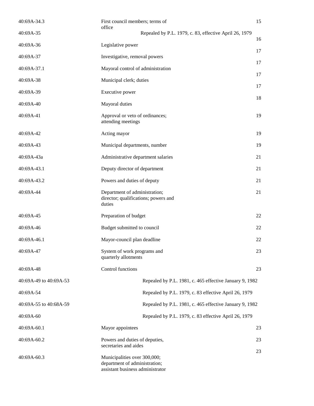| 40:69A-34.3            | First council members; terms of<br>office                                                         |                                                         | 15 |
|------------------------|---------------------------------------------------------------------------------------------------|---------------------------------------------------------|----|
| 40:69A-35              |                                                                                                   | Repealed by P.L. 1979, c. 83, effective April 26, 1979  | 16 |
| 40:69A-36              | Legislative power                                                                                 |                                                         | 17 |
| 40:69A-37              | Investigative, removal powers                                                                     |                                                         |    |
| 40:69A-37.1            | Mayoral control of administration                                                                 |                                                         | 17 |
| 40:69A-38              | Municipal clerk; duties                                                                           |                                                         | 17 |
| 40:69A-39              | Executive power                                                                                   |                                                         | 17 |
| 40:69A-40              | Mayoral duties                                                                                    |                                                         | 18 |
| 40:69A-41              | Approval or veto of ordinances;<br>attending meetings                                             |                                                         | 19 |
| 40:69A-42              | Acting mayor                                                                                      |                                                         | 19 |
| 40:69A-43              | Municipal departments, number                                                                     |                                                         | 19 |
| 40:69A-43a             | Administrative department salaries                                                                |                                                         | 21 |
| 40:69A-43.1            | Deputy director of department                                                                     |                                                         | 21 |
| 40:69A-43.2            | Powers and duties of deputy                                                                       |                                                         | 21 |
| 40:69A-44              | Department of administration;<br>director; qualifications; powers and<br>duties                   |                                                         | 21 |
| 40:69A-45              | Preparation of budget                                                                             |                                                         | 22 |
| 40:69A-46              | Budget submitted to council                                                                       |                                                         | 22 |
| 40:69A-46.1            | Mayor-council plan deadline                                                                       |                                                         | 22 |
| 40:69A-47              | System of work programs and<br>quarterly allotments                                               |                                                         | 23 |
| 40:69A-48              | Control functions                                                                                 |                                                         | 23 |
| 40:69A-49 to 40:69A-53 |                                                                                                   | Repealed by P.L. 1981, c. 465 effective January 9, 1982 |    |
| 40:69A-54              |                                                                                                   | Repealed by P.L. 1979, c. 83 effective April 26, 1979   |    |
| 40:69A-55 to 40:68A-59 |                                                                                                   | Repealed by P.L. 1981, c. 465 effective January 9, 1982 |    |
| 40:69A-60              |                                                                                                   | Repealed by P.L. 1979, c. 83 effective April 26, 1979   |    |
| 40:69A-60.1            | Mayor appointees                                                                                  |                                                         | 23 |
| 40:69A-60.2            | Powers and duties of deputies,<br>secretaries and aides                                           |                                                         | 23 |
| 40:69A-60.3            | Municipalities over 300,000;<br>department of administration;<br>assistant business administrator |                                                         | 23 |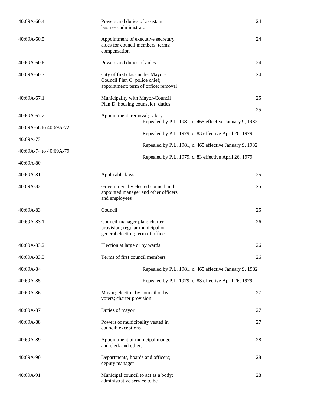| 40:69A-60.4            | Powers and duties of assistant<br>business administrator                                                  |    |
|------------------------|-----------------------------------------------------------------------------------------------------------|----|
| 40:69A-60.5            | Appointment of executive secretary,<br>aides for council members, terms;<br>compensation                  | 24 |
| 40:69A-60.6            | Powers and duties of aides                                                                                | 24 |
| 40:69A-60.7            | City of first class under Mayor-<br>Council Plan C; police chief;<br>appointment; term of office; removal | 24 |
| $40:69A-67.1$          | Municipality with Mayor-Council<br>Plan D; housing counselor; duties                                      | 25 |
| 40:69A-67.2            | Appointment; removal; salary<br>Repealed by P.L. 1981, c. 465 effective January 9, 1982                   | 25 |
| 40:69A-68 to 40:69A-72 |                                                                                                           |    |
| 40:69A-73              | Repealed by P.L. 1979, c. 83 effective April 26, 1979                                                     |    |
| 40:69A-74 to 40:69A-79 | Repealed by P.L. 1981, c. 465 effective January 9, 1982                                                   |    |
| 40:69A-80              | Repealed by P.L. 1979, c. 83 effective April 26, 1979                                                     |    |
| 40:69A-81              | Applicable laws                                                                                           | 25 |
| 40:69A-82              | Government by elected council and<br>appointed manager and other officers<br>and employees                | 25 |
| 40:69A-83              | Council                                                                                                   | 25 |
| 40:69A-83.1            | Council-manager plan; charter<br>provision; regular municipal or<br>general election; term of office      | 26 |
| 40:69A-83.2            | Election at large or by wards                                                                             | 26 |
| 40:69A-83.3            | Terms of first council members                                                                            | 26 |
| 40:69A-84              | Repealed by P.L. 1981, c. 465 effective January 9, 1982                                                   |    |
| 40:69A-85              | Repealed by P.L. 1979, c. 83 effective April 26, 1979                                                     |    |
| 40:69A-86              | Mayor; election by council or by<br>voters; charter provision                                             | 27 |
| 40:69A-87              | Duties of mayor                                                                                           | 27 |
| 40:69A-88              | Powers of municipality vested in<br>council; exceptions                                                   | 27 |
| 40:69A-89              | Appointment of municipal manger<br>and clerk and others                                                   | 28 |
| 40:69A-90              | Departments, boards and officers;<br>deputy manager                                                       | 28 |
| 40:69A-91              | Municipal council to act as a body;<br>administrative service to be                                       | 28 |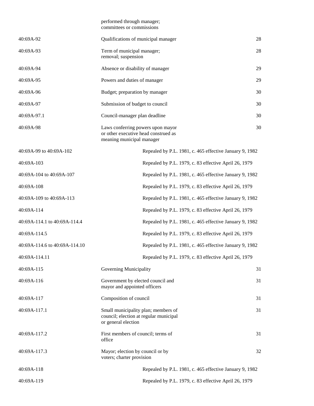|                               | performed through manager;<br>committees or commissions                                                |                                                         |    |  |
|-------------------------------|--------------------------------------------------------------------------------------------------------|---------------------------------------------------------|----|--|
| 40:69A-92                     | Qualifications of municipal manager                                                                    |                                                         | 28 |  |
| 40:69A-93                     | Term of municipal manager;<br>removal; suspension                                                      |                                                         | 28 |  |
| 40:69A-94                     |                                                                                                        | Absence or disability of manager                        |    |  |
| 40:69A-95                     | Powers and duties of manager                                                                           |                                                         | 29 |  |
| 40:69A-96                     | Budget; preparation by manager                                                                         |                                                         | 30 |  |
| 40:69A-97                     |                                                                                                        | Submission of budget to council                         |    |  |
| 40:69A-97.1                   | Council-manager plan deadline                                                                          |                                                         | 30 |  |
| 40:69A-98                     | Laws conferring powers upon mayor<br>or other executive head construed as<br>meaning municipal manager |                                                         | 30 |  |
| 40:69A-99 to 40:69A-102       |                                                                                                        | Repealed by P.L. 1981, c. 465 effective January 9, 1982 |    |  |
| 40:69A-103                    |                                                                                                        | Repealed by P.L. 1979, c. 83 effective April 26, 1979   |    |  |
| 40:69A-104 to 40:69A-107      |                                                                                                        | Repealed by P.L. 1981, c. 465 effective January 9, 1982 |    |  |
| 40:69A-108                    |                                                                                                        | Repealed by P.L. 1979, c. 83 effective April 26, 1979   |    |  |
| 40:69A-109 to 40:69A-113      |                                                                                                        | Repealed by P.L. 1981, c. 465 effective January 9, 1982 |    |  |
| 40:69A-114                    |                                                                                                        | Repealed by P.L. 1979, c. 83 effective April 26, 1979   |    |  |
| 40:69A-114.1 to 40:69A-114.4  | Repealed by P.L. 1981, c. 465 effective January 9, 1982                                                |                                                         |    |  |
| 40:69A-114.5                  | Repealed by P.L. 1979, c. 83 effective April 26, 1979                                                  |                                                         |    |  |
| 40:69A-114.6 to 40:69A-114.10 |                                                                                                        | Repealed by P.L. 1981, c. 465 effective January 9, 1982 |    |  |
| 40:69A-114.11                 |                                                                                                        | Repealed by P.L. 1979, c. 83 effective April 26, 1979   |    |  |
| 40:69A-115                    | Governing Municipality                                                                                 |                                                         | 31 |  |
| 40:69A-116                    | Government by elected council and<br>mayor and appointed officers                                      |                                                         | 31 |  |
| 40:69A-117                    | Composition of council                                                                                 |                                                         | 31 |  |
| 40:69A-117.1                  | Small municipality plan; members of<br>council; election at regular municipal<br>or general election   |                                                         | 31 |  |
| 40:69A-117.2                  | First members of council; terms of<br>office                                                           |                                                         | 31 |  |
| 40:69A-117.3                  | Mayor; election by council or by<br>voters; charter provision                                          |                                                         | 32 |  |
| 40:69A-118                    |                                                                                                        | Repealed by P.L. 1981, c. 465 effective January 9, 1982 |    |  |
| 40:69A-119                    | Repealed by P.L. 1979, c. 83 effective April 26, 1979                                                  |                                                         |    |  |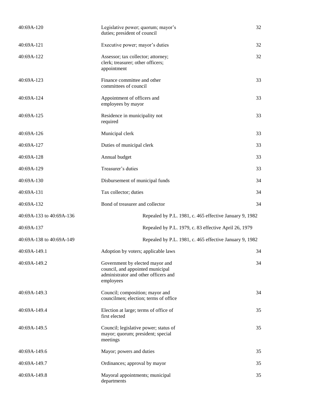| 40:69A-120               | Legislative power; quorum; mayor's<br>duties; president of council                                                       | 32 |
|--------------------------|--------------------------------------------------------------------------------------------------------------------------|----|
| 40:69A-121               | Executive power; mayor's duties                                                                                          | 32 |
| 40:69A-122               | Assessor; tax collector; attorney;<br>clerk; treasurer; other officers;<br>appointment                                   | 32 |
| 40:69A-123               | Finance committee and other<br>committees of council                                                                     | 33 |
| 40:69A-124               | Appointment of officers and<br>employees by mayor                                                                        | 33 |
| 40:69A-125               | Residence in municipality not<br>required                                                                                | 33 |
| 40:69A-126               | Municipal clerk                                                                                                          | 33 |
| 40:69A-127               | Duties of municipal clerk                                                                                                | 33 |
| 40:69A-128               | Annual budget                                                                                                            | 33 |
| 40:69A-129               | Treasurer's duties                                                                                                       | 33 |
| 40:69A-130               | Disbursement of municipal funds                                                                                          | 34 |
| 40:69A-131               | Tax collector; duties                                                                                                    | 34 |
| 40:69A-132               | Bond of treasurer and collector                                                                                          | 34 |
| 40:69A-133 to 40:69A-136 | Repealed by P.L. 1981, c. 465 effective January 9, 1982                                                                  |    |
| 40:69A-137               | Repealed by P.L. 1979, c. 83 effective April 26, 1979                                                                    |    |
| 40:69A-138 to 40:69A-149 | Repealed by P.L. 1981, c. 465 effective January 9, 1982                                                                  |    |
| 40:69A-149.1             | Adoption by voters; applicable laws                                                                                      | 34 |
| 40:69A-149.2             | Government by elected mayor and<br>council, and appointed municipal<br>administrator and other officers and<br>employees | 34 |
| 40:69A-149.3             | Council; composition; mayor and<br>councilmen; election; terms of office                                                 | 34 |
| 40:69A-149.4             | Election at large; terms of office of<br>first elected                                                                   | 35 |
| 40:69A-149.5             | Council; legislative power; status of<br>mayor; quorum; president; special<br>meetings                                   | 35 |
| 40:69A-149.6             | Mayor; powers and duties                                                                                                 | 35 |
| 40:69A-149.7             | Ordinances; approval by mayor                                                                                            | 35 |
| 40:69A-149.8             | Mayoral appointments; municipal                                                                                          | 35 |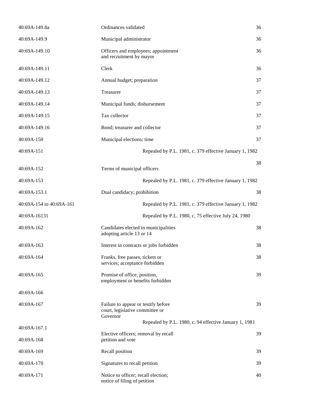| 40:69A-149.8a            | Ordinances validated                                                               | 36 |
|--------------------------|------------------------------------------------------------------------------------|----|
| 40:69A-149.9             | Municipal administrator                                                            | 36 |
| 40:69A-149.10            | Officers and employees; appointment<br>and recruitment by mayor                    | 36 |
| 40:69A-149.11            | Clerk                                                                              | 36 |
| 40:69A-149.12            | Annual budget; preparation                                                         | 37 |
| 40:69A-149.13            | Treasurer                                                                          | 37 |
| 40:69A-149.14            | Municipal funds; disbursement                                                      | 37 |
| 40:69A-149.15            | Tax collector                                                                      | 37 |
| 40:69A-149.16            | Bond; treasurer and collector                                                      | 37 |
| 40:69A-150               | Municipal elections; time                                                          | 37 |
| 40:69A-151               | Repealed by P.L. 1981, c. 379 effective January 1, 1982                            |    |
| 40:69A-152               | Terms of municipal officers                                                        | 38 |
| 40:69A-153               | Repealed by P.L. 1981, c. 379 effective January 1, 1982                            |    |
| 40:69A-153.1             | Dual candidacy; prohibition                                                        | 38 |
| 40:69A-154 to 40:69A-161 | Repealed by P.L. 1981, c. 379 effective January 1, 1982                            |    |
| 40:69A-16131             | Repealed by P.L. 1980, c. 75 effective July 24, 1980                               |    |
| 40:69A-162               | Candidates elected in municipalities<br>adopting article 13 or 14                  | 38 |
| 40:69A-163               | Interest in contracts or jobs forbidden                                            | 38 |
| 40:69A-164               | Franks, free passes, tickets or<br>services; acceptance forbidden                  | 38 |
| 40:69A-165               | Promise of office, position,<br>employment or benefits forbidden                   | 39 |
| 40:69A-166               |                                                                                    |    |
| 40:69A-167               | Failure to appear or testify before<br>court, legislative committee or<br>Governor | 39 |
| 40:69A-167.1             | Repealed by P.L. 1980, c. 94 effective January 1, 1981                             |    |
| 40:69A-168               | Elective officers; removal by recall<br>petition and vote                          | 39 |
| 40:69A-169               | Recall position                                                                    | 39 |
| 40:69A-170               | Signatures to recall petition                                                      | 39 |
| 40:69A-171               | Notice to officer; recall election;<br>notice of filing of petition                | 40 |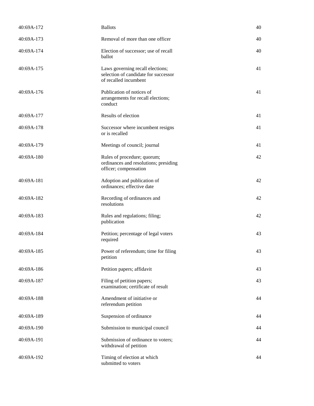| 40:69A-172 | <b>Ballots</b>                                                                                    | 40 |
|------------|---------------------------------------------------------------------------------------------------|----|
| 40:69A-173 | Removal of more than one officer                                                                  | 40 |
| 40:69A-174 | Election of successor; use of recall<br>ballot                                                    | 40 |
| 40:69A-175 | Laws governing recall elections;<br>selection of candidate for successor<br>of recalled incumbent | 41 |
| 40:69A-176 | Publication of notices of<br>arrangements for recall elections;<br>conduct                        | 41 |
| 40:69A-177 | Results of election                                                                               | 41 |
| 40:69A-178 | Successor where incumbent resigns<br>or is recalled                                               | 41 |
| 40:69A-179 | Meetings of council; journal                                                                      | 41 |
| 40:69A-180 | Rules of procedure; quorum;<br>ordinances and resolutions; presiding<br>officer; compensation     | 42 |
| 40:69A-181 | Adoption and publication of<br>ordinances; effective date                                         | 42 |
| 40:69A-182 | Recording of ordinances and<br>resolutions                                                        | 42 |
| 40:69A-183 | Rules and regulations; filing;<br>publication                                                     | 42 |
| 40:69A-184 | Petition; percentage of legal voters<br>required                                                  | 43 |
| 40:69A-185 | Power of referendum; time for filing<br>petition                                                  | 43 |
| 40:69A-186 | Petition papers; affidavit                                                                        | 43 |
| 40:69A-187 | Filing of petition papers;<br>examination; certificate of result                                  | 43 |
| 40:69A-188 | Amendment of initiative or<br>referendum petition                                                 | 44 |
| 40:69A-189 | Suspension of ordinance                                                                           | 44 |
| 40:69A-190 | Submission to municipal council                                                                   | 44 |
| 40:69A-191 | Submission of ordinance to voters;<br>withdrawal of petition                                      | 44 |
| 40:69A-192 | Timing of election at which<br>submitted to voters                                                | 44 |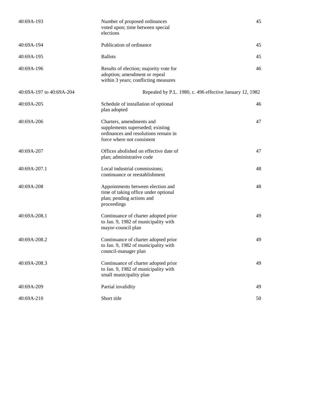| 40:69A-193               | Number of proposed ordinances<br>voted upon; time between special<br>elections                                                     | 45 |
|--------------------------|------------------------------------------------------------------------------------------------------------------------------------|----|
| 40:69A-194               | Publication of ordinance                                                                                                           | 45 |
| 40:69A-195               | <b>Ballots</b>                                                                                                                     | 45 |
| 40:69A-196               | Results of election; majority vote for<br>adoption; amendment or repeal<br>within 3 years; conflicting measures                    | 46 |
| 40:69A-197 to 40:69A-204 | Repealed by P.L. 1980, c. 496 effective January 12, 1982                                                                           |    |
| 40:69A-205               | Schedule of installation of optional<br>plan adopted                                                                               | 46 |
| 40:69A-206               | Charters, amendments and<br>supplements superseded; existing<br>ordinances and resolutions remain in<br>force where not consistent | 47 |
| 40:69A-207               | Offices abolished on effective date of<br>plan; administrative code                                                                | 47 |
| 40:69A-207.1             | Local industrial commissions;<br>continuance or reestablishment                                                                    | 48 |
| 40:69A-208               | Appointments between election and<br>time of taking office under optional<br>plan; pending actions and<br>proceedings              | 48 |
| 40:69A-208.1             | Continuance of charter adopted prior<br>to Jan. 9, 1982 of municipality with<br>mayor-council plan                                 | 49 |
| 40:69A-208.2             | Continuance of charter adopted prior<br>to Jan. 9, 1982 of municipality with<br>council-manager plan                               | 49 |
| 40:69A-208.3             | Continuance of charter adopted prior<br>to Jan. 9, 1982 of municipality with<br>small municipality plan                            | 49 |
| 40:69A-209               | Partial invalidity                                                                                                                 | 49 |
| 40:69A-210               | Short title                                                                                                                        | 50 |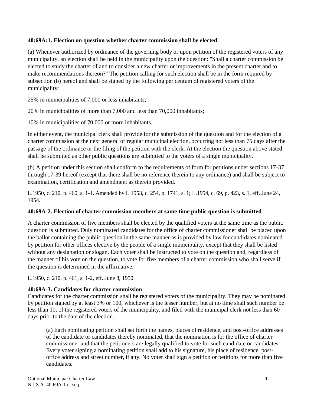#### **40:69A:1. Election on question whether charter commission shall be elected**

(a) Whenever authorized by ordinance of the governing body or upon petition of the registered voters of any municipality, an election shall be held in the municipality upon the question: "Shall a charter commission be elected to study the charter of and to consider a new charter or improvements in the present charter and to make recommendations thereon?" The petition calling for such election shall be in the form required by subsection (b) hereof and shall be signed by the following per centum of registered voters of the municipality:

25% in municipalities of 7,000 or less inhabitants;

20% in municipalities of more than 7,000 and less than 70,000 inhabitants;

10% in municipalities of 70,000 or more inhabitants.

In either event, the municipal clerk shall provide for the submission of the question and for the election of a charter commission at the next general or regular municipal election, occurring not less than 75 days after the passage of the ordinance or the filing of the petition with the clerk. At the election the question above stated shall be submitted as other public questions are submitted to the voters of a single municipality.

(b) A petition under this section shall conform to the requirements of form for petitions under sections 17-37 through 17-39 hereof (except that there shall be no reference therein to any ordinance) and shall be subject to examination, certification and amendment as therein provided.

L.1950, c. 210, p. 460, s. 1-1. Amended by L.1953, c. 254, p. 1741, s. 1; L.1954, c. 69, p. 423, s. 1, eff. June 24, 1954.

#### **40:69A-2. Election of charter commission members at same time public question is submitted**

A charter commission of five members shall be elected by the qualified voters at the same time as the public question is submitted. Duly nominated candidates for the office of charter commissioner shall be placed upon the ballot containing the public question in the same manner as is provided by law for candidates nominated by petition for other offices elective by the people of a single municipality, except that they shall be listed without any designation or slogan. Each voter shall be instructed to vote on the question and, regardless of the manner of his vote on the question, to vote for five members of a charter commission who shall serve if the question is determined in the affirmative.

L.1950, c. 210, p. 461, s. 1-2, eff. June 8, 1950.

#### **40:69A-3. Candidates for charter commission**

Candidates for the charter commission shall be registered voters of the municipality. They may be nominated by petition signed by at least 3% or 100, whichever is the lesser number, but at no time shall such number be less than 10, of the registered voters of the municipality, and filed with the municipal clerk not less than 60 days prior to the date of the election.

(a) Each nominating petition shall set forth the names, places of residence, and post-office addresses of the candidate or candidates thereby nominated, that the nomination is for the office of charter commissioner and that the petitioners are legally qualified to vote for such candidate or candidates. Every voter signing a nominating petition shall add to his signature, his place of residence, postoffice address and street number, if any. No voter shall sign a petition or petitions for more than five candidates.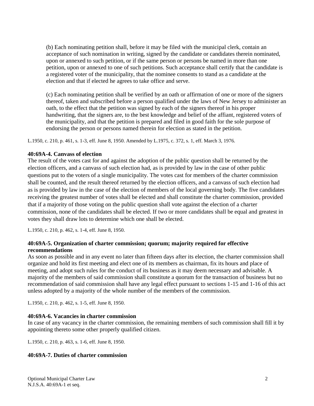(b) Each nominating petition shall, before it may be filed with the municipal clerk, contain an acceptance of such nomination in writing, signed by the candidate or candidates therein nominated, upon or annexed to such petition, or if the same person or persons be named in more than one petition, upon or annexed to one of such petitions. Such acceptance shall certify that the candidate is a registered voter of the municipality, that the nominee consents to stand as a candidate at the election and that if elected he agrees to take office and serve.

(c) Each nominating petition shall be verified by an oath or affirmation of one or more of the signers thereof, taken and subscribed before a person qualified under the laws of New Jersey to administer an oath, to the effect that the petition was signed by each of the signers thereof in his proper handwriting, that the signers are, to the best knowledge and belief of the affiant, registered voters of the municipality, and that the petition is prepared and filed in good faith for the sole purpose of endorsing the person or persons named therein for election as stated in the petition.

L.1950, c. 210, p. 461, s. 1-3, eff. June 8, 1950. Amended by L.1975, c. 372, s. 1, eff. March 3, 1976.

#### **40:69A-4. Canvass of election**

The result of the votes cast for and against the adoption of the public question shall be returned by the election officers, and a canvass of such election had, as is provided by law in the case of other public questions put to the voters of a single municipality. The votes cast for members of the charter commission shall be counted, and the result thereof returned by the election officers, and a canvass of such election had as is provided by law in the case of the election of members of the local governing body. The five candidates receiving the greatest number of votes shall be elected and shall constitute the charter commission, provided that if a majority of those voting on the public question shall vote against the election of a charter commission, none of the candidates shall be elected. If two or more candidates shall be equal and greatest in votes they shall draw lots to determine which one shall be elected.

L.1950, c. 210, p. 462, s. 1-4, eff. June 8, 1950.

# **40:69A-5. Organization of charter commission; quorum; majority required for effective recommendations**

As soon as possible and in any event no later than fifteen days after its election, the charter commission shall organize and hold its first meeting and elect one of its members as chairman, fix its hours and place of meeting, and adopt such rules for the conduct of its business as it may deem necessary and advisable. A majority of the members of said commission shall constitute a quorum for the transaction of business but no recommendation of said commission shall have any legal effect pursuant to sections 1-15 and 1-16 of this act unless adopted by a majority of the whole number of the members of the commission.

L.1950, c. 210, p. 462, s. 1-5, eff. June 8, 1950.

# **40:69A-6. Vacancies in charter commission**

In case of any vacancy in the charter commission, the remaining members of such commission shall fill it by appointing thereto some other properly qualified citizen.

L.1950, c. 210, p. 463, s. 1-6, eff. June 8, 1950.

# **40:69A-7. Duties of charter commission**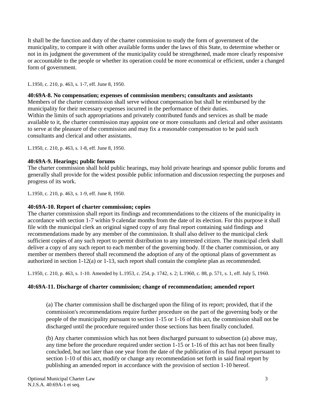It shall be the function and duty of the charter commission to study the form of government of the municipality, to compare it with other available forms under the laws of this State, to determine whether or not in its judgment the government of the municipality could be strengthened, made more clearly responsive or accountable to the people or whether its operation could be more economical or efficient, under a changed form of government.

L.1950, c. 210, p. 463, s. 1-7, eff. June 8, 1950.

**40:69A-8. No compensation; expenses of commission members; consultants and assistants** 

Members of the charter commission shall serve without compensation but shall be reimbursed by the municipality for their necessary expenses incurred in the performance of their duties. Within the limits of such appropriations and privately contributed funds and services as shall be made available to it, the charter commission may appoint one or more consultants and clerical and other assistants to serve at the pleasure of the commission and may fix a reasonable compensation to be paid such consultants and clerical and other assistants.

L.1950, c. 210, p. 463, s. 1-8, eff. June 8, 1950.

#### **40:69A-9. Hearings; public forums**

The charter commission shall hold public hearings, may hold private hearings and sponsor public forums and generally shall provide for the widest possible public information and discussion respecting the purposes and progress of its work.

L.1950, c. 210, p. 463, s. 1-9, eff. June 8, 1950.

#### **40:69A-10. Report of charter commission; copies**

The charter commission shall report its findings and recommendations to the citizens of the municipality in accordance with section 1-7 within 9 calendar months from the date of its election. For this purpose it shall file with the municipal clerk an original signed copy of any final report containing said findings and recommendations made by any member of the commission. It shall also deliver to the municipal clerk sufficient copies of any such report to permit distribution to any interested citizen. The municipal clerk shall deliver a copy of any such report to each member of the governing body. If the charter commission, or any member or members thereof shall recommend the adoption of any of the optional plans of government as authorized in section 1-12(a) or 1-13, such report shall contain the complete plan as recommended.

L.1950, c. 210, p. 463, s. 1-10. Amended by L.1953, c. 254, p. 1742, s. 2; L.1960, c. 88, p. 571, s. 1, eff. July 5, 1960.

# **40:69A-11. Discharge of charter commission; change of recommendation; amended report**

(a) The charter commission shall be discharged upon the filing of its report; provided, that if the commission's recommendations require further procedure on the part of the governing body or the people of the municipality pursuant to section 1-15 or 1-16 of this act, the commission shall not be discharged until the procedure required under those sections has been finally concluded.

(b) Any charter commission which has not been discharged pursuant to subsection (a) above may, any time before the procedure required under section 1-15 or 1-16 of this act has not been finally concluded, but not later than one year from the date of the publication of its final report pursuant to section 1-10 of this act, modify or change any recommendation set forth in said final report by publishing an amended report in accordance with the provision of section 1-10 hereof.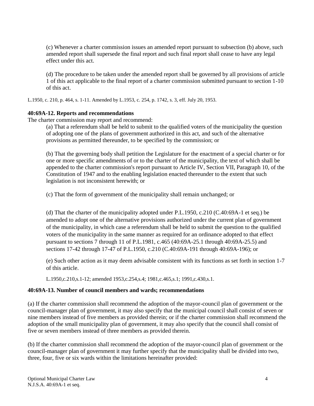(c) Whenever a charter commission issues an amended report pursuant to subsection (b) above, such amended report shall supersede the final report and such final report shall cease to have any legal effect under this act.

(d) The procedure to be taken under the amended report shall be governed by all provisions of article 1 of this act applicable to the final report of a charter commission submitted pursuant to section 1-10 of this act.

L.1950, c. 210, p. 464, s. 1-11. Amended by L.1953, c. 254, p. 1742, s. 3, eff. July 20, 1953.

#### **40:69A-12. Reports and recommendations**

The charter commission may report and recommend:

(a) That a referendum shall be held to submit to the qualified voters of the municipality the question of adopting one of the plans of government authorized in this act, and such of the alternative provisions as permitted thereunder, to be specified by the commission; or

(b) That the governing body shall petition the Legislature for the enactment of a special charter or for one or more specific amendments of or to the charter of the municipality, the text of which shall be appended to the charter commission's report pursuant to Article IV, Section VII, Paragraph 10, of the Constitution of 1947 and to the enabling legislation enacted thereunder to the extent that such legislation is not inconsistent herewith; or

(c) That the form of government of the municipality shall remain unchanged; or

(d) That the charter of the municipality adopted under P.L.1950, c.210 (C.40:69A-1 et seq.) be amended to adopt one of the alternative provisions authorized under the current plan of government of the municipality, in which case a referendum shall be held to submit the question to the qualified voters of the municipality in the same manner as required for an ordinance adopted to that effect pursuant to sections 7 through 11 of P.L.1981, c.465 (40:69A-25.1 through 40:69A-25.5) and sections 17-42 through 17-47 of P.L.1950, c.210 (C.40:69A-191 through 40:69A-196); or

(e) Such other action as it may deem advisable consistent with its functions as set forth in section 1-7 of this article.

L.1950,c.210,s.1-12; amended 1953,c.254,s.4; 1981,c.465,s.1; 1991,c.430,s.1.

#### **40:69A-13. Number of council members and wards; recommendations**

(a) If the charter commission shall recommend the adoption of the mayor-council plan of government or the council-manager plan of government, it may also specify that the municipal council shall consist of seven or nine members instead of five members as provided therein; or if the charter commission shall recommend the adoption of the small municipality plan of government, it may also specify that the council shall consist of five or seven members instead of three members as provided therein.

(b) If the charter commission shall recommend the adoption of the mayor-council plan of government or the council-manager plan of government it may further specify that the municipality shall be divided into two, three, four, five or six wards within the limitations hereinafter provided: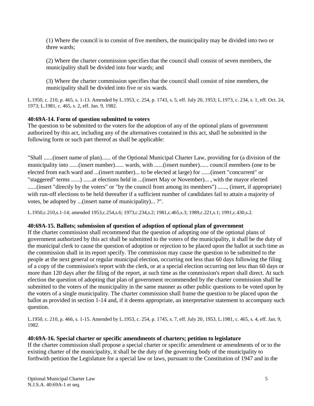(1) Where the council is to consist of five members, the municipality may be divided into two or three wards;

(2) Where the charter commission specifies that the council shall consist of seven members, the municipality shall be divided into four wards; and

(3) Where the charter commission specifies that the council shall consist of nine members, the municipality shall be divided into five or six wards.

L.1950, c. 210, p. 465, s. 1-13. Amended by L.1953, c. 254, p. 1743, s. 5, eff. July 20, 1953; L.1973, c. 234, s. 1, eff. Oct. 24, 1973; L.1981, c. 465, s. 2, eff. Jan. 9, 1982.

#### **40:69A-14. Form of question submitted to voters**

The question to be submitted to the voters for the adoption of any of the optional plans of government authorized by this act, including any of the alternatives contained in this act, shall be submitted in the following form or such part thereof as shall be applicable:

"Shall ......(insert name of plan)...... of the Optional Municipal Charter Law, providing for (a division of the municipality into ......(insert number)...... wards, with ......(insert number)...... council members (one to be elected from each ward and ...(insert number)... to be elected at large) for ......(insert "concurrent" or "staggered" terms ......) ......at elections held in ...(insert May or November)... , with the mayor elected ......(insert "directly by the voters" or "by the council from among its members") ......, (insert, if appropriate) with run-off elections to be held thereafter if a sufficient number of candidates fail to attain a majority of votes, be adopted by ...(insert name of municipality)... ?".

L.1950,c.210,s.1-14; amended 1953,c.254,s.6; 1973,c.234,s.2; 1981,c.465,s.3; 1989,c.221,s.1; 1991,c.430,s.2.

#### **40:69A-15. Ballots; submission of question of adoption of optional plan of government**

If the charter commission shall recommend that the question of adopting one of the optional plans of government authorized by this act shall be submitted to the voters of the municipality, it shall be the duty of the municipal clerk to cause the question of adoption or rejection to be placed upon the ballot at such time as the commission shall in its report specify. The commission may cause the question to be submitted to the people at the next general or regular municipal election, occurring not less than 60 days following the filing of a copy of the commission's report with the clerk, or at a special election occurring not less than 60 days or more than 120 days after the filing of the report, at such time as the commission's report shall direct. At such election the question of adopting that plan of government recommended by the charter commission shall be submitted to the voters of the municipality in the same manner as other public questions to be voted upon by the voters of a single municipality. The charter commission shall frame the question to be placed upon the ballot as provided in section 1-14 and, if it deems appropriate, an interpretative statement to accompany such question.

L.1950, c. 210, p. 466, s. 1-15. Amended by L.1953, c. 254, p. 1745, s. 7, eff. July 20, 1953, L.1981, c. 465, s. 4, eff. Jan. 9, 1982.

#### **40:69A-16. Special charter or specific amendments of charters; petition to legislature**

If the charter commission shall propose a special charter or specific amendment or amendments of or to the existing charter of the municipality, it shall be the duty of the governing body of the municipality to forthwith petition the Legislature for a special law or laws, pursuant to the Constitution of 1947 and in the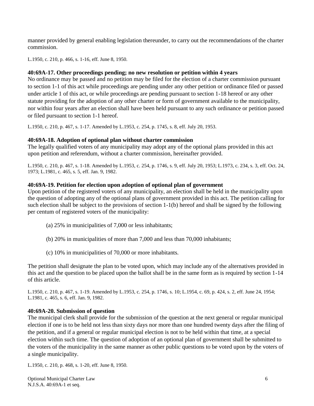manner provided by general enabling legislation thereunder, to carry out the recommendations of the charter commission.

L.1950, c. 210, p. 466, s. 1-16, eff. June 8, 1950.

#### **40:69A-17. Other proceedings pending; no new resolution or petition within 4 years**

No ordinance may be passed and no petition may be filed for the election of a charter commission pursuant to section 1-1 of this act while proceedings are pending under any other petition or ordinance filed or passed under article 1 of this act, or while proceedings are pending pursuant to section 1-18 hereof or any other statute providing for the adoption of any other charter or form of government available to the municipality, nor within four years after an election shall have been held pursuant to any such ordinance or petition passed or filed pursuant to section 1-1 hereof.

L.1950, c. 210, p. 467, s. 1-17. Amended by L.1953, c. 254, p. 1745, s. 8, eff. July 20, 1953.

#### **40:69A-18. Adoption of optional plan without charter commission**

The legally qualified voters of any municipality may adopt any of the optional plans provided in this act upon petition and referendum, without a charter commission, hereinafter provided.

L.1950, c. 210, p. 467, s. 1-18. Amended by L.1953, c. 254, p. 1746, s. 9, eff. July 20, 1953; L.1973, c. 234, s. 3, eff. Oct. 24, 1973; L.1981, c. 465, s. 5, eff. Jan. 9, 1982.

#### **40:69A-19. Petition for election upon adoption of optional plan of government**

Upon petition of the registered voters of any municipality, an election shall be held in the municipality upon the question of adopting any of the optional plans of government provided in this act. The petition calling for such election shall be subject to the provisions of section 1-1(b) hereof and shall be signed by the following per centum of registered voters of the municipality:

- (a) 25% in municipalities of 7,000 or less inhabitants;
- (b) 20% in municipalities of more than 7,000 and less than 70,000 inhabitants;
- (c) 10% in municipalities of 70,000 or more inhabitants.

The petition shall designate the plan to be voted upon, which may include any of the alternatives provided in this act and the question to be placed upon the ballot shall be in the same form as is required by section 1-14 of this article.

L.1950, c. 210, p. 467, s. 1-19. Amended by L.1953, c. 254, p. 1746, s. 10; L.1954, c. 69, p. 424, s. 2, eff. June 24, 1954; L.1981, c. 465, s. 6, eff. Jan. 9, 1982.

#### **40:69A-20. Submission of question**

The municipal clerk shall provide for the submission of the question at the next general or regular municipal election if one is to be held not less than sixty days nor more than one hundred twenty days after the filing of the petition, and if a general or regular municipal election is not to be held within that time, at a special election within such time. The question of adoption of an optional plan of government shall be submitted to the voters of the municipality in the same manner as other public questions to be voted upon by the voters of a single municipality.

L.1950, c. 210, p. 468, s. 1-20, eff. June 8, 1950.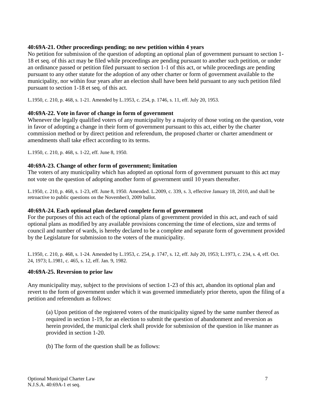#### **40:69A-21. Other proceedings pending; no new petition within 4 years**

No petition for submission of the question of adopting an optional plan of government pursuant to section 1- 18 et seq. of this act may be filed while proceedings are pending pursuant to another such petition, or under an ordinance passed or petition filed pursuant to section 1-1 of this act, or while proceedings are pending pursuant to any other statute for the adoption of any other charter or form of government available to the municipality, nor within four years after an election shall have been held pursuant to any such petition filed pursuant to section 1-18 et seq. of this act.

L.1950, c. 210, p. 468, s. 1-21. Amended by L.1953, c. 254, p. 1746, s. 11, eff. July 20, 1953.

#### **40:69A-22. Vote in favor of change in form of government**

Whenever the legally qualified voters of any municipality by a majority of those voting on the question, vote in favor of adopting a change in their form of government pursuant to this act, either by the charter commission method or by direct petition and referendum, the proposed charter or charter amendment or amendments shall take effect according to its terms.

L.1950, c. 210, p. 468, s. 1-22, eff. June 8, 1950.

#### **40:69A-23. Change of other form of government; limitation**

The voters of any municipality which has adopted an optional form of government pursuant to this act may not vote on the question of adopting another form of government until 10 years thereafter.

L.1950, c. 210, p. 468, s. 1-23, eff. June 8, 1950. Amended. L.2009, c. 339, s. 3, effective January 18, 2010, and shall be retroactive to public questions on the November3, 2009 ballot.

#### **40:69A-24. Each optional plan declared complete form of government**

For the purposes of this act each of the optional plans of government provided in this act, and each of said optional plans as modified by any available provisions concerning the time of elections, size and terms of council and number of wards, is hereby declared to be a complete and separate form of government provided by the Legislature for submission to the voters of the municipality.

L.1950, c. 210, p. 468, s. 1-24. Amended by L.1953, c. 254, p. 1747, s. 12, eff. July 20, 1953; L.1973, c. 234, s. 4, eff. Oct. 24, 1973; L.1981, c. 465, s. 12, eff. Jan. 9, 1982.

#### **40:69A-25. Reversion to prior law**

Any municipality may, subject to the provisions of section 1-23 of this act, abandon its optional plan and revert to the form of government under which it was governed immediately prior thereto, upon the filing of a petition and referendum as follows:

(a) Upon petition of the registered voters of the municipality signed by the same number thereof as required in section 1-19, for an election to submit the question of abandonment and reversion as herein provided, the municipal clerk shall provide for submission of the question in like manner as provided in section 1-20.

(b) The form of the question shall be as follows: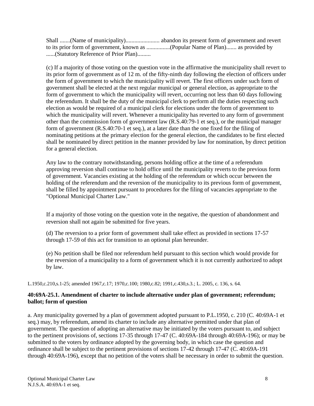Shall .......(Name of municipality)....................... abandon its present form of government and revert to its prior form of government, known as ................(Popular Name of Plan)....... as provided by ......(Statutory Reference of Prior Plan).........

(c) If a majority of those voting on the question vote in the affirmative the municipality shall revert to its prior form of government as of 12 m. of the fifty-ninth day following the election of officers under the form of government to which the municipality will revert. The first officers under such form of government shall be elected at the next regular municipal or general election, as appropriate to the form of government to which the municipality will revert, occurring not less than 60 days following the referendum. It shall be the duty of the municipal clerk to perform all the duties respecting such election as would be required of a municipal clerk for elections under the form of government to which the municipality will revert. Whenever a municipality has reverted to any form of government other than the commission form of government law (R.S.40:79-1 et seq.), or the municipal manager form of government (R.S.40:70-1 et seq.), at a later date than the one fixed for the filing of nominating petitions at the primary election for the general election, the candidates to be first elected shall be nominated by direct petition in the manner provided by law for nomination, by direct petition for a general election.

Any law to the contrary notwithstanding, persons holding office at the time of a referendum approving reversion shall continue to hold office until the municipality reverts to the previous form of government. Vacancies existing at the holding of the referendum or which occur between the holding of the referendum and the reversion of the municipality to its previous form of government, shall be filled by appointment pursuant to procedures for the filing of vacancies appropriate to the "Optional Municipal Charter Law."

If a majority of those voting on the question vote in the negative, the question of abandonment and reversion shall not again be submitted for five years.

(d) The reversion to a prior form of government shall take effect as provided in sections 17-57 through 17-59 of this act for transition to an optional plan hereunder.

(e) No petition shall be filed nor referendum held pursuant to this section which would provide for the reversion of a municipality to a form of government which it is not currently authorized to adopt by law.

L.1950,c.210,s.1-25; amended 1967,c.17; 1970,c.100; 1980,c.82; 1991,c.430,s.3.; L. 2005, c. 136, s. 64.

# **40:69A-25.1. Amendment of charter to include alternative under plan of government; referendum; ballot; form of question**

a. Any municipality governed by a plan of government adopted pursuant to P.L.1950, c. 210 (C. 40:69A-1 et seq.) may, by referendum, amend its charter to include any alternative permitted under that plan of government. The question of adopting an alternative may be initiated by the voters pursuant to, and subject to the pertinent provisions of, sections 17-35 through 17-47 (C. 40:69A-184 through 40:69A-196); or may be submitted to the voters by ordinance adopted by the governing body, in which case the question and ordinance shall be subject to the pertinent provisions of sections 17-42 through 17-47 (C. 40:69A-191 through 40:69A-196), except that no petition of the voters shall be necessary in order to submit the question.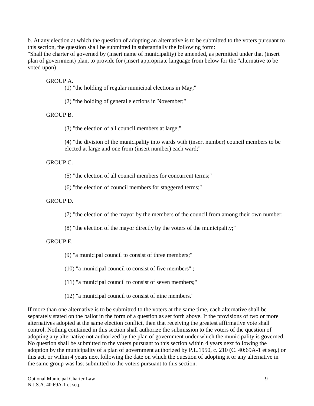b. At any election at which the question of adopting an alternative is to be submitted to the voters pursuant to this section, the question shall be submitted in substantially the following form:

"Shall the charter of governed by (insert name of municipality) be amended, as permitted under that (insert plan of government) plan, to provide for (insert appropriate language from below for the "alternative to be voted upon)

#### GROUP A.

- (1) "the holding of regular municipal elections in May;"
- (2) "the holding of general elections in November;"

#### GROUP B.

(3) "the election of all council members at large;"

(4) "the division of the municipality into wards with (insert number) council members to be elected at large and one from (insert number) each ward;"

#### GROUP C.

(5) "the election of all council members for concurrent terms;"

(6) "the election of council members for staggered terms;"

#### GROUP D.

(7) "the election of the mayor by the members of the council from among their own number;

(8) "the election of the mayor directly by the voters of the municipality;"

#### GROUP E.

(9) "a municipal council to consist of three members;"

(10) "a municipal council to consist of five members" ;

(11) "a municipal council to consist of seven members;"

(12) "a municipal council to consist of nine members."

If more than one alternative is to be submitted to the voters at the same time, each alternative shall be separately stated on the ballot in the form of a question as set forth above. If the provisions of two or more alternatives adopted at the same election conflict, then that receiving the greatest affirmative vote shall control. Nothing contained in this section shall authorize the submission to the voters of the question of adopting any alternative not authorized by the plan of government under which the municipality is governed. No question shall be submitted to the voters pursuant to this section within 4 years next following the adoption by the municipality of a plan of government authorized by P.L.1950, c. 210 (C. 40:69A-1 et seq.) or this act, or within 4 years next following the date on which the question of adopting it or any alternative in the same group was last submitted to the voters pursuant to this section.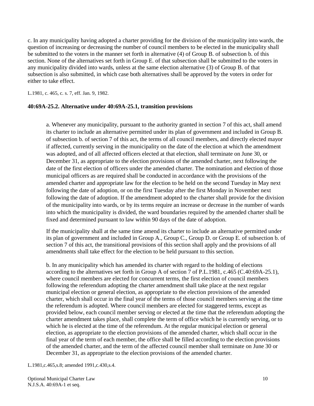c. In any municipality having adopted a charter providing for the division of the municipality into wards, the question of increasing or decreasing the number of council members to be elected in the municipality shall be submitted to the voters in the manner set forth in alternative (4) of Group B. of subsection b. of this section. None of the alternatives set forth in Group E. of that subsection shall be submitted to the voters in any municipality divided into wards, unless at the same election alternative (3) of Group B. of that subsection is also submitted, in which case both alternatives shall be approved by the voters in order for either to take effect.

L.1981, c. 465, c. s. 7, eff. Jan. 9, 1982.

#### **40:69A-25.2. Alternative under 40:69A-25.1, transition provisions**

a. Whenever any municipality, pursuant to the authority granted in section 7 of this act, shall amend its charter to include an alternative permitted under its plan of government and included in Group B. of subsection b. of section 7 of this act, the terms of all council members, and directly elected mayor if affected, currently serving in the municipality on the date of the election at which the amendment was adopted, and of all affected officers elected at that election, shall terminate on June 30, or December 31, as appropriate to the election provisions of the amended charter, next following the date of the first election of officers under the amended charter. The nomination and election of those municipal officers as are required shall be conducted in accordance with the provisions of the amended charter and appropriate law for the election to be held on the second Tuesday in May next following the date of adoption, or on the first Tuesday after the first Monday in November next following the date of adoption. If the amendment adopted to the charter shall provide for the division of the municipality into wards, or by its terms require an increase or decrease in the number of wards into which the municipality is divided, the ward boundaries required by the amended charter shall be fixed and determined pursuant to law within 90 days of the date of adoption.

If the municipality shall at the same time amend its charter to include an alternative permitted under its plan of government and included in Group A., Group C., Group D. or Group E. of subsection b. of section 7 of this act, the transitional provisions of this section shall apply and the provisions of all amendments shall take effect for the election to be held pursuant to this section.

b. In any municipality which has amended its charter with regard to the holding of elections according to the alternatives set forth in Group A of section 7 of P.L.1981, c.465 (C.40:69A-25.1), where council members are elected for concurrent terms, the first election of council members following the referendum adopting the charter amendment shall take place at the next regular municipal election or general election, as appropriate to the election provisions of the amended charter, which shall occur in the final year of the terms of those council members serving at the time the referendum is adopted. Where council members are elected for staggered terms, except as provided below, each council member serving or elected at the time that the referendum adopting the charter amendment takes place, shall complete the term of office which he is currently serving, or to which he is elected at the time of the referendum. At the regular municipal election or general election, as appropriate to the election provisions of the amended charter, which shall occur in the final year of the term of each member, the office shall be filled according to the election provisions of the amended charter, and the term of the affected council member shall terminate on June 30 or December 31, as appropriate to the election provisions of the amended charter.

L.1981,c.465,s.8; amended 1991,c.430,s.4.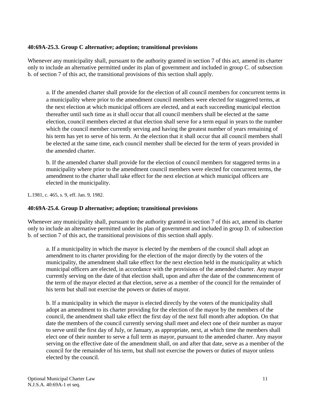#### **40:69A-25.3. Group C alternative; adoption; transitional provisions**

Whenever any municipality shall, pursuant to the authority granted in section 7 of this act, amend its charter only to include an alternative permitted under its plan of government and included in group C. of subsection b. of section 7 of this act, the transitional provisions of this section shall apply.

a. If the amended charter shall provide for the election of all council members for concurrent terms in a municipality where prior to the amendment council members were elected for staggered terms, at the next election at which municipal officers are elected, and at each succeeding municipal election thereafter until such time as it shall occur that all council members shall be elected at the same election, council members elected at that election shall serve for a term equal in years to the number which the council member currently serving and having the greatest number of years remaining of his term has yet to serve of his term. At the election that it shall occur that all council members shall be elected at the same time, each council member shall be elected for the term of years provided in the amended charter.

b. If the amended charter shall provide for the election of council members for staggered terms in a municipality where prior to the amendment council members were elected for concurrent terms, the amendment to the charter shall take effect for the next election at which municipal officers are elected in the municipality.

L.1981, c. 465, s. 9, eff. Jan. 9, 1982.

#### **40:69A-25.4. Group D alternative; adoption; transitional provisions**

Whenever any municipality shall, pursuant to the authority granted in section 7 of this act, amend its charter only to include an alternative permitted under its plan of government and included in group D. of subsection b. of section 7 of this act, the transitional provisions of this section shall apply.

a. If a municipality in which the mayor is elected by the members of the council shall adopt an amendment to its charter providing for the election of the major directly by the voters of the municipality, the amendment shall take effect for the next election held in the municipality at which municipal officers are elected, in accordance with the provisions of the amended charter. Any mayor currently serving on the date of that election shall, upon and after the date of the commencement of the term of the mayor elected at that election, serve as a member of the council for the remainder of his term but shall not exercise the powers or duties of mayor.

b. If a municipality in which the mayor is elected directly by the voters of the municipality shall adopt an amendment to its charter providing for the election of the mayor by the members of the council, the amendment shall take effect the first day of the next full month after adoption. On that date the members of the council currently serving shall meet and elect one of their number as mayor to serve until the first day of July, or January, as appropriate, next, at which time the members shall elect one of their number to serve a full term as mayor, pursuant to the amended charter. Any mayor serving on the effective date of the amendment shall, on and after that date, serve as a member of the council for the remainder of his term, but shall not exercise the powers or duties of mayor unless elected by the council.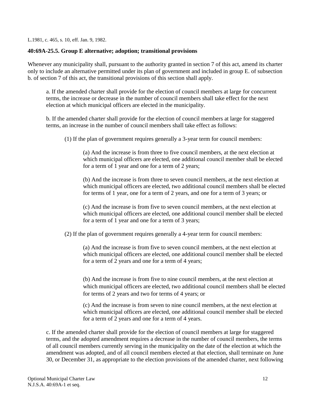L.1981, c. 465, s. 10, eff. Jan. 9, 1982.

#### **40:69A-25.5. Group E alternative; adoption; transitional provisions**

Whenever any municipality shall, pursuant to the authority granted in section 7 of this act, amend its charter only to include an alternative permitted under its plan of government and included in group E. of subsection b. of section 7 of this act, the transitional provisions of this section shall apply.

a. If the amended charter shall provide for the election of council members at large for concurrent terms, the increase or decrease in the number of council members shall take effect for the next election at which municipal officers are elected in the municipality.

b. If the amended charter shall provide for the election of council members at large for staggered terms, an increase in the number of council members shall take effect as follows:

(1) If the plan of government requires generally a 3-year term for council members:

(a) And the increase is from three to five council members, at the next election at which municipal officers are elected, one additional council member shall be elected for a term of 1 year and one for a term of 2 years;

(b) And the increase is from three to seven council members, at the next election at which municipal officers are elected, two additional council members shall be elected for terms of 1 year, one for a term of 2 years, and one for a term of 3 years; or

(c) And the increase is from five to seven council members, at the next election at which municipal officers are elected, one additional council member shall be elected for a term of 1 year and one for a term of 3 years;

(2) If the plan of government requires generally a 4-year term for council members:

(a) And the increase is from five to seven council members, at the next election at which municipal officers are elected, one additional council member shall be elected for a term of 2 years and one for a term of 4 years;

(b) And the increase is from five to nine council members, at the next election at which municipal officers are elected, two additional council members shall be elected for terms of 2 years and two for terms of 4 years; or

(c) And the increase is from seven to nine council members, at the next election at which municipal officers are elected, one additional council member shall be elected for a term of 2 years and one for a term of 4 years.

c. If the amended charter shall provide for the election of council members at large for staggered terms, and the adopted amendment requires a decrease in the number of council members, the terms of all council members currently serving in the municipality on the date of the election at which the amendment was adopted, and of all council members elected at that election, shall terminate on June 30, or December 31, as appropriate to the election provisions of the amended charter, next following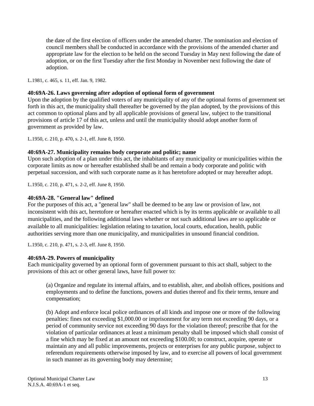the date of the first election of officers under the amended charter. The nomination and election of council members shall be conducted in accordance with the provisions of the amended charter and appropriate law for the election to be held on the second Tuesday in May next following the date of adoption, or on the first Tuesday after the first Monday in November next following the date of adoption.

L.1981, c. 465, s. 11, eff. Jan. 9, 1982.

#### **40:69A-26. Laws governing after adoption of optional form of government**

Upon the adoption by the qualified voters of any municipality of any of the optional forms of government set forth in this act, the municipality shall thereafter be governed by the plan adopted, by the provisions of this act common to optional plans and by all applicable provisions of general law, subject to the transitional provisions of article 17 of this act, unless and until the municipality should adopt another form of government as provided by law.

L.1950, c. 210, p. 470, s. 2-1, eff. June 8, 1950.

#### **40:69A-27. Municipality remains body corporate and politic; name**

Upon such adoption of a plan under this act, the inhabitants of any municipality or municipalities within the corporate limits as now or hereafter established shall be and remain a body corporate and politic with perpetual succession, and with such corporate name as it has heretofore adopted or may hereafter adopt.

L.1950, c. 210, p. 471, s. 2-2, eff. June 8, 1950.

#### **40:69A-28. "General law" defined**

For the purposes of this act, a "general law" shall be deemed to be any law or provision of law, not inconsistent with this act, heretofore or hereafter enacted which is by its terms applicable or available to all municipalities, and the following additional laws whether or not such additional laws are so applicable or available to all municipalities: legislation relating to taxation, local courts, education, health, public authorities serving more than one municipality, and municipalities in unsound financial condition.

L.1950, c. 210, p. 471, s. 2-3, eff. June 8, 1950.

#### **40:69A-29. Powers of municipality**

Each municipality governed by an optional form of government pursuant to this act shall, subject to the provisions of this act or other general laws, have full power to:

(a) Organize and regulate its internal affairs, and to establish, alter, and abolish offices, positions and employments and to define the functions, powers and duties thereof and fix their terms, tenure and compensation;

(b) Adopt and enforce local police ordinances of all kinds and impose one or more of the following penalties: fines not exceeding \$1,000.00 or imprisonment for any term not exceeding 90 days, or a period of community service not exceeding 90 days for the violation thereof; prescribe that for the violation of particular ordinances at least a minimum penalty shall be imposed which shall consist of a fine which may be fixed at an amount not exceeding \$100.00; to construct, acquire, operate or maintain any and all public improvements, projects or enterprises for any public purpose, subject to referendum requirements otherwise imposed by law, and to exercise all powers of local government in such manner as its governing body may determine;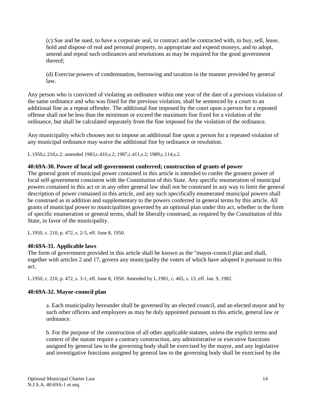(c) Sue and be sued, to have a corporate seal, to contract and be contracted with, to buy, sell, lease, hold and dispose of real and personal property, to appropriate and expend moneys, and to adopt, amend and repeal such ordinances and resolutions as may be required for the good government thereof;

(d) Exercise powers of condemnation, borrowing and taxation in the manner provided by general law.

Any person who is convicted of violating an ordinance within one year of the date of a previous violation of the same ordinance and who was fined for the previous violation, shall be sentenced by a court to an additional fine as a repeat offender. The additional fine imposed by the court upon a person for a repeated offense shall not be less than the minimum or exceed the maximum fine fixed for a violation of the ordinance, but shall be calculated separately from the fine imposed for the violation of the ordinance.

Any municipality which chooses not to impose an additional fine upon a person for a repeated violation of any municipal ordinance may waive the additional fine by ordinance or resolution.

L.1950,c.210,s.2; amended 1983,c.410,s.2; 1987,c.411,s.2; 1989,c.114,s.2.

#### **40:69A-30. Power of local self-government conferred; construction of grants of power**

The general grant of municipal power contained in this article is intended to confer the greatest power of local self-government consistent with the Constitution of this State. Any specific enumeration of municipal powers contained in this act or in any other general law shall not be construed in any way to limit the general description of power contained in this article, and any such specifically enumerated municipal powers shall be construed as in addition and supplementary to the powers conferred in general terms by this article. All grants of municipal power to municipalities governed by an optional plan under this act, whether in the form of specific enumeration or general terms, shall be liberally construed, as required by the Constitution of this State, in favor of the municipality.

L.1950, c. 210, p. 472, s. 2-5, eff. June 8, 1950.

#### **40:69A-31. Applicable laws**

The form of government provided in this article shall be known as the "mayor-council plan and shall, together with articles 2 and 17, govern any municipality the voters of which have adopted it pursuant to this act.

L.1950, c. 210, p. 472, s. 3-1, eff. June 8, 1950. Amended by L.1981, c. 465, s. 13, eff. Jan. 9, 1982.

#### **40:69A-32. Mayor-council plan**

a. Each municipality hereunder shall be governed by an elected council, and an elected mayor and by such other officers and employees as may be duly appointed pursuant to this article, general law or ordinance.

b. For the purpose of the construction of all other applicable statutes, unless the explicit terms and context of the statute require a contrary construction, any administrative or executive functions assigned by general law to the governing body shall be exercised by the mayor, and any legislative and investigative functions assigned by general law to the governing body shall be exercised by the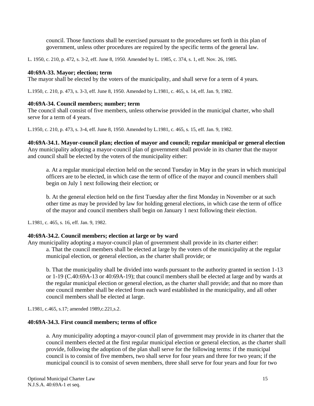council. Those functions shall be exercised pursuant to the procedures set forth in this plan of government, unless other procedures are required by the specific terms of the general law.

L. 1950, c. 210, p. 472, s. 3-2, eff. June 8, 1950. Amended by L. 1985, c. 374, s. 1, eff. Nov. 26, 1985.

#### **40:69A-33. Mayor; election; term**

The mayor shall be elected by the voters of the municipality, and shall serve for a term of 4 years.

L.1950, c. 210, p. 473, s. 3-3, eff. June 8, 1950. Amended by L.1981, c. 465, s. 14, eff. Jan. 9, 1982.

#### **40:69A-34. Council members; number; term**

The council shall consist of five members, unless otherwise provided in the municipal charter, who shall serve for a term of 4 years.

L.1950, c. 210, p. 473, s. 3-4, eff. June 8, 1950. Amended by L.1981, c. 465, s. 15, eff. Jan. 9, 1982.

**40:69A-34.1. Mayor-council plan; election of mayor and council; regular municipal or general election**  Any municipality adopting a mayor-council plan of government shall provide in its charter that the mayor and council shall be elected by the voters of the municipality either:

a. At a regular municipal election held on the second Tuesday in May in the years in which municipal officers are to be elected, in which case the term of office of the mayor and council members shall begin on July 1 next following their election; or

b. At the general election held on the first Tuesday after the first Monday in November or at such other time as may be provided by law for holding general elections, in which case the term of office of the mayor and council members shall begin on January 1 next following their election.

L.1981, c. 465, s. 16, eff. Jan. 9, 1982.

#### **40:69A-34.2. Council members; election at large or by ward**

Any municipality adopting a mayor-council plan of government shall provide in its charter either:

a. That the council members shall be elected at large by the voters of the municipality at the regular municipal election, or general election, as the charter shall provide; or

b. That the municipality shall be divided into wards pursuant to the authority granted in section 1-13 or 1-19 (C.40:69A-13 or 40:69A-19); that council members shall be elected at large and by wards at the regular municipal election or general election, as the charter shall provide; and that no more than one council member shall be elected from each ward established in the municipality, and all other council members shall be elected at large.

L.1981, c.465, s.17; amended 1989,c.221,s.2.

#### **40:69A-34.3. First council members; terms of office**

a. Any municipality adopting a mayor-council plan of government may provide in its charter that the council members elected at the first regular municipal election or general election, as the charter shall provide, following the adoption of the plan shall serve for the following terms: if the municipal council is to consist of five members, two shall serve for four years and three for two years; if the municipal council is to consist of seven members, three shall serve for four years and four for two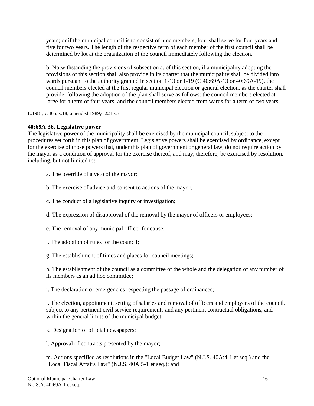years; or if the municipal council is to consist of nine members, four shall serve for four years and five for two years. The length of the respective term of each member of the first council shall be determined by lot at the organization of the council immediately following the election.

b. Notwithstanding the provisions of subsection a. of this section, if a municipality adopting the provisions of this section shall also provide in its charter that the municipality shall be divided into wards pursuant to the authority granted in section 1-13 or 1-19 (C.40:69A-13 or 40:69A-19), the council members elected at the first regular municipal election or general election, as the charter shall provide, following the adoption of the plan shall serve as follows: the council members elected at large for a term of four years; and the council members elected from wards for a term of two years.

L.1981, c.465, s.18; amended 1989,c.221,s.3.

#### **40:69A-36. Legislative power**

The legislative power of the municipality shall be exercised by the municipal council, subject to the procedures set forth in this plan of government. Legislative powers shall be exercised by ordinance, except for the exercise of those powers that, under this plan of government or general law, do not require action by the mayor as a condition of approval for the exercise thereof, and may, therefore, be exercised by resolution, including, but not limited to:

- a. The override of a veto of the mayor;
- b. The exercise of advice and consent to actions of the mayor;
- c. The conduct of a legislative inquiry or investigation;
- d. The expression of disapproval of the removal by the mayor of officers or employees;
- e. The removal of any municipal officer for cause;
- f. The adoption of rules for the council;
- g. The establishment of times and places for council meetings;

h. The establishment of the council as a committee of the whole and the delegation of any number of its members as an ad hoc committee;

i. The declaration of emergencies respecting the passage of ordinances;

j. The election, appointment, setting of salaries and removal of officers and employees of the council, subject to any pertinent civil service requirements and any pertinent contractual obligations, and within the general limits of the municipal budget;

k. Designation of official newspapers;

l. Approval of contracts presented by the mayor;

m. Actions specified as resolutions in the "Local Budget Law" (N.J.S. 40A:4-1 et seq.) and the "Local Fiscal Affairs Law" (N.J.S. 40A:5-1 et seq.); and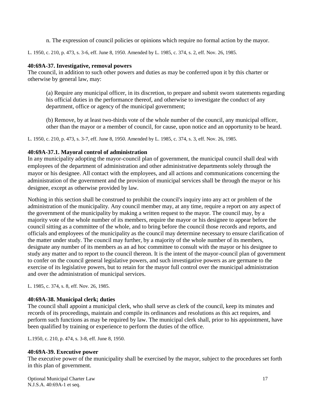n. The expression of council policies or opinions which require no formal action by the mayor.

L. 1950, c. 210, p. 473, s. 3-6, eff. June 8, 1950. Amended by L. 1985, c. 374, s. 2, eff. Nov. 26, 1985.

#### **40:69A-37. Investigative, removal powers**

The council, in addition to such other powers and duties as may be conferred upon it by this charter or otherwise by general law, may:

(a) Require any municipal officer, in its discretion, to prepare and submit sworn statements regarding his official duties in the performance thereof, and otherwise to investigate the conduct of any department, office or agency of the municipal government;

(b) Remove, by at least two-thirds vote of the whole number of the council, any municipal officer, other than the mayor or a member of council, for cause, upon notice and an opportunity to be heard.

L. 1950, c. 210, p. 473, s. 3-7, eff. June 8, 1950. Amended by L. 1985, c. 374, s. 3, eff. Nov. 26, 1985.

#### **40:69A-37.1. Mayoral control of administration**

In any municipality adopting the mayor-council plan of government, the municipal council shall deal with employees of the department of administration and other administrative departments solely through the mayor or his designee. All contact with the employees, and all actions and communications concerning the administration of the government and the provision of municipal services shall be through the mayor or his designee, except as otherwise provided by law.

Nothing in this section shall be construed to prohibit the council's inquiry into any act or problem of the administration of the municipality. Any council member may, at any time, require a report on any aspect of the government of the municipality by making a written request to the mayor. The council may, by a majority vote of the whole number of its members, require the mayor or his designee to appear before the council sitting as a committee of the whole, and to bring before the council those records and reports, and officials and employees of the municipality as the council may determine necessary to ensure clarification of the matter under study. The council may further, by a majority of the whole number of its members, designate any number of its members as an ad hoc committee to consult with the mayor or his designee to study any matter and to report to the council thereon. It is the intent of the mayor-council plan of government to confer on the council general legislative powers, and such investigative powers as are germane to the exercise of its legislative powers, but to retain for the mayor full control over the municipal administration and over the administration of municipal services.

L. 1985, c. 374, s. 8, eff. Nov. 26, 1985.

#### **40:69A-38. Municipal clerk; duties**

The council shall appoint a municipal clerk, who shall serve as clerk of the council, keep its minutes and records of its proceedings, maintain and compile its ordinances and resolutions as this act requires, and perform such functions as may be required by law. The municipal clerk shall, prior to his appointment, have been qualified by training or experience to perform the duties of the office.

L.1950, c. 210, p. 474, s. 3-8, eff. June 8, 1950.

#### **40:69A-39. Executive power**

The executive power of the municipality shall be exercised by the mayor, subject to the procedures set forth in this plan of government.

Optional Municipal Charter Law 17 N.J.S.A. 40:69A-1 et seq.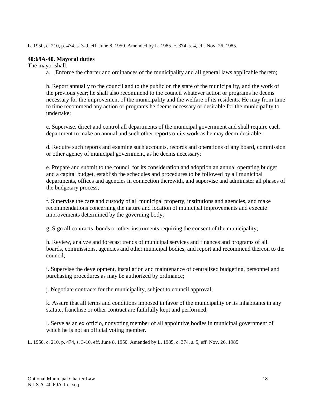L. 1950, c. 210, p. 474, s. 3-9, eff. June 8, 1950. Amended by L. 1985, c. 374, s. 4, eff. Nov. 26, 1985.

#### **40:69A-40. Mayoral duties**

The mayor shall:

a. Enforce the charter and ordinances of the municipality and all general laws applicable thereto;

b. Report annually to the council and to the public on the state of the municipality, and the work of the previous year; he shall also recommend to the council whatever action or programs he deems necessary for the improvement of the municipality and the welfare of its residents. He may from time to time recommend any action or programs he deems necessary or desirable for the municipality to undertake;

c. Supervise, direct and control all departments of the municipal government and shall require each department to make an annual and such other reports on its work as he may deem desirable;

d. Require such reports and examine such accounts, records and operations of any board, commission or other agency of municipal government, as he deems necessary;

e. Prepare and submit to the council for its consideration and adoption an annual operating budget and a capital budget, establish the schedules and procedures to be followed by all municipal departments, offices and agencies in connection therewith, and supervise and administer all phases of the budgetary process;

f. Supervise the care and custody of all municipal property, institutions and agencies, and make recommendations concerning the nature and location of municipal improvements and execute improvements determined by the governing body;

g. Sign all contracts, bonds or other instruments requiring the consent of the municipality;

h. Review, analyze and forecast trends of municipal services and finances and programs of all boards, commissions, agencies and other municipal bodies, and report and recommend thereon to the council;

i. Supervise the development, installation and maintenance of centralized budgeting, personnel and purchasing procedures as may be authorized by ordinance;

j. Negotiate contracts for the municipality, subject to council approval;

k. Assure that all terms and conditions imposed in favor of the municipality or its inhabitants in any statute, franchise or other contract are faithfully kept and performed;

l. Serve as an ex officio, nonvoting member of all appointive bodies in municipal government of which he is not an official voting member.

L. 1950, c. 210, p. 474, s. 3-10, eff. June 8, 1950. Amended by L. 1985, c. 374, s. 5, eff. Nov. 26, 1985.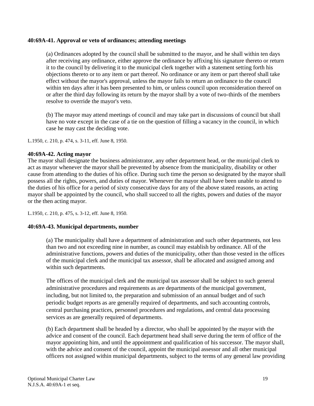#### **40:69A-41. Approval or veto of ordinances; attending meetings**

(a) Ordinances adopted by the council shall be submitted to the mayor, and he shall within ten days after receiving any ordinance, either approve the ordinance by affixing his signature thereto or return it to the council by delivering it to the municipal clerk together with a statement setting forth his objections thereto or to any item or part thereof. No ordinance or any item or part thereof shall take effect without the mayor's approval, unless the mayor fails to return an ordinance to the council within ten days after it has been presented to him, or unless council upon reconsideration thereof on or after the third day following its return by the mayor shall by a vote of two-thirds of the members resolve to override the mayor's veto.

(b) The mayor may attend meetings of council and may take part in discussions of council but shall have no vote except in the case of a tie on the question of filling a vacancy in the council, in which case he may cast the deciding vote.

L.1950, c. 210, p. 474, s. 3-11, eff. June 8, 1950.

#### **40:69A-42. Acting mayor**

The mayor shall designate the business administrator, any other department head, or the municipal clerk to act as mayor whenever the mayor shall be prevented by absence from the municipality, disability or other cause from attending to the duties of his office. During such time the person so designated by the mayor shall possess all the rights, powers, and duties of mayor. Whenever the mayor shall have been unable to attend to the duties of his office for a period of sixty consecutive days for any of the above stated reasons, an acting mayor shall be appointed by the council, who shall succeed to all the rights, powers and duties of the mayor or the then acting mayor.

L.1950, c. 210, p. 475, s. 3-12, eff. June 8, 1950.

#### **40:69A-43. Municipal departments, number**

(a) The municipality shall have a department of administration and such other departments, not less than two and not exceeding nine in number, as council may establish by ordinance. All of the administrative functions, powers and duties of the municipality, other than those vested in the offices of the municipal clerk and the municipal tax assessor, shall be allocated and assigned among and within such departments.

The offices of the municipal clerk and the municipal tax assessor shall be subject to such general administrative procedures and requirements as are departments of the municipal government, including, but not limited to, the preparation and submission of an annual budget and of such periodic budget reports as are generally required of departments, and such accounting controls, central purchasing practices, personnel procedures and regulations, and central data processing services as are generally required of departments.

(b) Each department shall be headed by a director, who shall be appointed by the mayor with the advice and consent of the council. Each department head shall serve during the term of office of the mayor appointing him, and until the appointment and qualification of his successor. The mayor shall, with the advice and consent of the council, appoint the municipal assessor and all other municipal officers not assigned within municipal departments, subject to the terms of any general law providing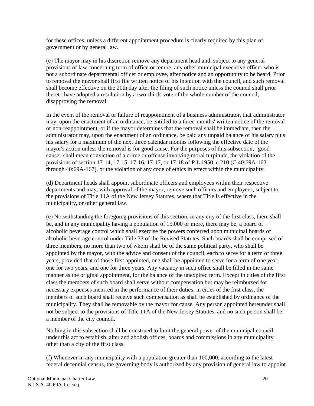for these offices, unless a different appointment procedure is clearly required by this plan of government or by general law.

(c) The mayor may in his discretion remove any department head and, subject to any general provisions of law concerning term of office or tenure, any other municipal executive officer who is not a subordinate departmental officer or employee, after notice and an opportunity to be heard. Prior to removal the mayor shall first file written notice of his intention with the council, and such removal shall become effective on the 20th day after the filing of such notice unless the council shall prior thereto have adopted a resolution by a two-thirds vote of the whole number of the council, disapproving the removal.

In the event of the removal or failure of reappointment of a business administrator, that administrator may, upon the enactment of an ordinance, be entitled to a three-months' written notice of the removal or non-reappointment, or if the mayor determines that the removal shall be immediate, then the administrator may, upon the enactment of an ordinance, be paid any unpaid balance of his salary plus his salary for a maximum of the next three calendar months following the effective date of the mayor's action unless the removal is for good cause. For the purposes of this subsection, "good cause" shall mean conviction of a crime or offense involving moral turpitude, the violation of the provisions of section 17-14, 17-15, 17-16, 17-17, or 17-18 of P.L.1950, c.210 (C.40:69A-163 through 40:69A-167), or the violation of any code of ethics in effect within the municipality.

(d) Department heads shall appoint subordinate officers and employees within their respective departments and may, with approval of the mayor, remove such officers and employees, subject to the provisions of Title 11A of the New Jersey Statutes, where that Title is effective in the municipality, or other general law.

(e) Notwithstanding the foregoing provisions of this section, in any city of the first class, there shall be, and in any municipality having a population of 15,000 or more, there may be, a board of alcoholic beverage control which shall exercise the powers conferred upon municipal boards of alcoholic beverage control under Title 33 of the Revised Statutes. Such boards shall be comprised of three members, no more than two of whom shall be of the same political party, who shall be appointed by the mayor, with the advice and consent of the council, each to serve for a term of three years, provided that of those first appointed, one shall be appointed to serve for a term of one year, one for two years, and one for three years. Any vacancy in such office shall be filled in the same manner as the original appointment, for the balance of the unexpired term. Except in cities of the first class the members of such board shall serve without compensation but may be reimbursed for necessary expenses incurred in the performance of their duties; in cities of the first class, the members of such board shall receive such compensation as shall be established by ordinance of the municipality. They shall be removable by the mayor for cause. Any person appointed hereunder shall not be subject to the provisions of Title 11A of the New Jersey Statutes, and no such person shall be a member of the city council.

Nothing in this subsection shall be construed to limit the general power of the municipal council under this act to establish, alter and abolish offices, boards and commissions in any municipality other than a city of the first class.

(f) Whenever in any municipality with a population greater than 100,000, according to the latest federal decennial census, the governing body is authorized by any provision of general law to appoint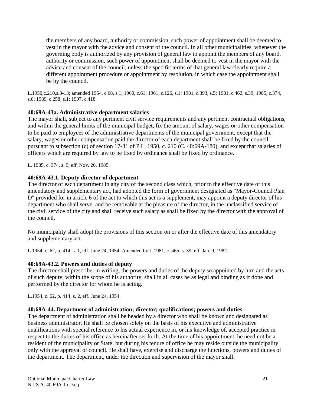the members of any board, authority or commission, such power of appointment shall be deemed to vest in the mayor with the advice and consent of the council. In all other municipalities, whenever the governing body is authorized by any provision of general law to appoint the members of any board, authority or commission, such power of appointment shall be deemed to vest in the mayor with the advice and consent of the council, unless the specific terms of that general law clearly require a different appointment procedure or appointment by resolution, in which case the appointment shall be by the council.

L.1950,c.210,s.3-13; amended 1954, c.68, s.1; 1960, c.61; 1961, c.126, s.1; 1981, c.393, s.5; 1981, c.462, s.39; 1985, c.374, s.6; 1989, c.258, s.1; 1997, c.418.

# **40:69A-43a. Administrative department salaries**

The mayor shall, subject to any pertinent civil service requirements and any pertinent contractual obligations, and within the general limits of the municipal budget, fix the amount of salary, wages or other compensation to be paid to employees of the administrative departments of the municipal government, except that the salary, wages or other compensation paid the director of each department shall be fixed by the council pursuant to subsection (c) of section 17-31 of P.L. 1950, c. 210 (C. 40:69A-180), and except that salaries of officers which are required by law to be fixed by ordinance shall be fixed by ordinance.

L. 1985, c. 374, s. 9, eff. Nov. 26, 1985.

# **40:69A-43.1. Deputy director of department**

The director of each department in any city of the second class which, prior to the effective date of this amendatory and supplementary act, had adopted the form of government designated as "Mayor-Council Plan D" provided for in article 6 of the act to which this act is a supplement, may appoint a deputy director of his department who shall serve, and be removable at the pleasure of the director, in the unclassified service of the civil service of the city and shall receive such salary as shall be fixed by the director with the approval of the council.

No municipality shall adopt the provisions of this section on or after the effective date of this amendatory and supplementary act.

L.1954, c. 62, p. 414, s. 1, eff. June 24, 1954. Amended by L.1981, c. 465, s. 39, eff. Jan. 9, 1982.

#### **40:69A-43.2. Powers and duties of deputy**

The director shall prescribe, in writing, the powers and duties of the deputy so appointed by him and the acts of such deputy, within the scope of his authority, shall in all cases be as legal and binding as if done and performed by the director for whom he is acting.

L.1954, c. 62, p. 414, s. 2, eff. June 24, 1954.

#### **40:69A-44. Department of administration; director; qualifications; powers and duties**

The department of administration shall be headed by a director who shall be known and designated as business administrator. He shall be chosen solely on the basis of his executive and administrative qualifications with special reference to his actual experience in, or his knowledge of, accepted practice in respect to the duties of his office as hereinafter set forth. At the time of his appointment, he need not be a resident of the municipality or State, but during his tenure of office he may reside outside the municipality only with the approval of council. He shall have, exercise and discharge the functions, powers and duties of the department. The department, under the direction and supervision of the mayor shall: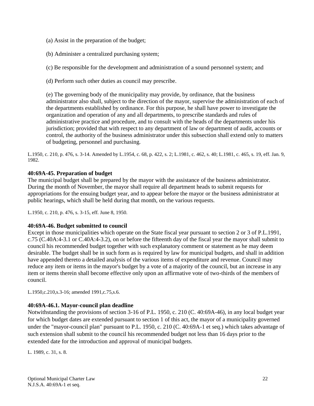- (a) Assist in the preparation of the budget;
- (b) Administer a centralized purchasing system;

(c) Be responsible for the development and administration of a sound personnel system; and

(d) Perform such other duties as council may prescribe.

(e) The governing body of the municipality may provide, by ordinance, that the business administrator also shall, subject to the direction of the mayor, supervise the administration of each of the departments established by ordinance. For this purpose, he shall have power to investigate the organization and operation of any and all departments, to prescribe standards and rules of administrative practice and procedure, and to consult with the heads of the departments under his jurisdiction; provided that with respect to any department of law or department of audit, accounts or control, the authority of the business administrator under this subsection shall extend only to matters of budgeting, personnel and purchasing.

L.1950, c. 210, p. 476, s. 3-14. Amended by L.1954, c. 68, p. 422, s. 2; L.1981, c. 462, s. 40; L.1981, c. 465, s. 19, eff. Jan. 9, 1982.

# **40:69A-45. Preparation of budget**

The municipal budget shall be prepared by the mayor with the assistance of the business administrator. During the month of November, the mayor shall require all department heads to submit requests for appropriations for the ensuing budget year, and to appear before the mayor or the business administrator at public hearings, which shall be held during that month, on the various requests.

L.1950, c. 210, p. 476, s. 3-15, eff. June 8, 1950.

#### **40:69A-46. Budget submitted to council**

Except in those municipalities which operate on the State fiscal year pursuant to section 2 or 3 of P.L.1991, c.75 (C.40A:4-3.1 or C.40A:4-3.2), on or before the fifteenth day of the fiscal year the mayor shall submit to council his recommended budget together with such explanatory comment or statement as he may deem desirable. The budget shall be in such form as is required by law for municipal budgets, and shall in addition have appended thereto a detailed analysis of the various items of expenditure and revenue. Council may reduce any item or items in the mayor's budget by a vote of a majority of the council, but an increase in any item or items therein shall become effective only upon an affirmative vote of two-thirds of the members of council.

L.1950,c.210,s.3-16; amended 1991,c.75,s.6.

# **40:69A-46.1. Mayor-council plan deadline**

Notwithstanding the provisions of section 3-16 of P.L. 1950, c. 210 (C. 40:69A-46), in any local budget year for which budget dates are extended pursuant to section 1 of this act, the mayor of a municipality governed under the "mayor-council plan" pursuant to P.L. 1950, c. 210 (C. 40:69A-1 et seq.) which takes advantage of such extension shall submit to the council his recommended budget not less than 16 days prior to the extended date for the introduction and approval of municipal budgets.

L. 1989, c. 31, s. 8.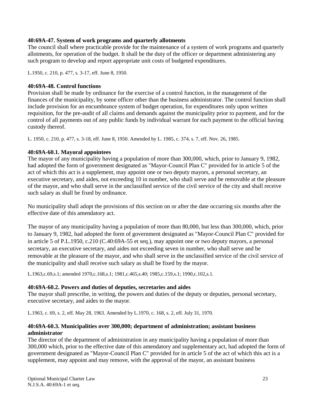#### **40:69A-47. System of work programs and quarterly allotments**

The council shall where practicable provide for the maintenance of a system of work programs and quarterly allotments, for operation of the budget. It shall be the duty of the officer or department administering any such program to develop and report appropriate unit costs of budgeted expenditures.

L.1950, c. 210, p. 477, s. 3-17, eff. June 8, 1950.

#### **40:69A-48. Control functions**

Provision shall be made by ordinance for the exercise of a control function, in the management of the finances of the municipality, by some officer other than the business administrator. The control function shall include provision for an encumbrance system of budget operation, for expenditures only upon written requisition, for the pre-audit of all claims and demands against the municipality prior to payment, and for the control of all payments out of any public funds by individual warrant for each payment to the official having custody thereof.

L. 1950, c. 210, p. 477, s. 3-18, eff. June 8, 1950. Amended by L. 1985, c. 374, s. 7, eff. Nov. 26, 1985.

#### **40:69A-60.1. Mayoral appointees**

The mayor of any municipality having a population of more than 300,000, which, prior to January 9, 1982, had adopted the form of government designated as "Mayor-Council Plan C" provided for in article 5 of the act of which this act is a supplement, may appoint one or two deputy mayors, a personal secretary, an executive secretary, and aides, not exceeding 10 in number, who shall serve and be removable at the pleasure of the mayor, and who shall serve in the unclassified service of the civil service of the city and shall receive such salary as shall be fixed by ordinance.

No municipality shall adopt the provisions of this section on or after the date occurring six months after the effective date of this amendatory act.

The mayor of any municipality having a population of more than 80,000, but less than 300,000, which, prior to January 9, 1982, had adopted the form of government designated as "Mayor-Council Plan C" provided for in article 5 of P.L.1950, c.210 (C.40:69A-55 et seq.), may appoint one or two deputy mayors, a personal secretary, an executive secretary, and aides not exceeding seven in number, who shall serve and be removable at the pleasure of the mayor, and who shall serve in the unclassified service of the civil service of the municipality and shall receive such salary as shall be fixed by the mayor.

L.1963,c.69,s.1; amended 1970,c.168,s.1; 1981,c.465,s.40; 1985,c.159,s.1; 1990,c.102,s.1.

#### **40:69A-60.2. Powers and duties of deputies, secretaries and aides**

The mayor shall prescribe, in writing, the powers and duties of the deputy or deputies, personal secretary, executive secretary, and aides to the mayor.

L.1963, c. 69, s. 2, eff. May 28, 1963. Amended by L.1970, c. 168, s. 2, eff. July 31, 1970.

#### **40:69A-60.3. Municipalities over 300,000; department of administration; assistant business administrator**

The director of the department of administration in any municipality having a population of more than 300,000 which, prior to the effective date of this amendatory and supplementary act, had adopted the form of government designated as "Mayor-Council Plan C" provided for in article 5 of the act of which this act is a supplement, may appoint and may remove, with the approval of the mayor, an assistant business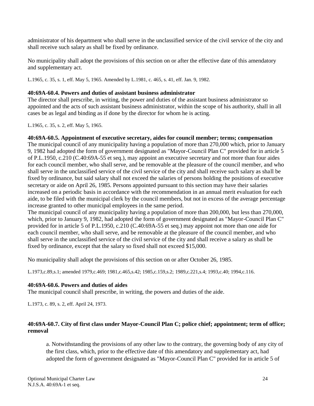administrator of his department who shall serve in the unclassified service of the civil service of the city and shall receive such salary as shall be fixed by ordinance.

No municipality shall adopt the provisions of this section on or after the effective date of this amendatory and supplementary act.

L.1965, c. 35, s. 1, eff. May 5, 1965. Amended by L.1981, c. 465, s. 41, eff. Jan. 9, 1982.

#### **40:69A-60.4. Powers and duties of assistant business administrator**

The director shall prescribe, in writing, the power and duties of the assistant business administrator so appointed and the acts of such assistant business administrator, within the scope of his authority, shall in all cases be as legal and binding as if done by the director for whom he is acting.

L.1965, c. 35, s. 2, eff. May 5, 1965.

#### **40:69A-60.5. Appointment of executive secretary, aides for council member; terms; compensation**

The municipal council of any municipality having a population of more than 270,000 which, prior to January 9, 1982 had adopted the form of government designated as "Mayor-Council Plan C" provided for in article 5 of P.L.1950, c.210 (C.40:69A-55 et seq.), may appoint an executive secretary and not more than four aides for each council member, who shall serve, and be removable at the pleasure of the council member, and who shall serve in the unclassified service of the civil service of the city and shall receive such salary as shall be fixed by ordinance, but said salary shall not exceed the salaries of persons holding the positions of executive secretary or aide on April 26, 1985. Persons appointed pursuant to this section may have their salaries increased on a periodic basis in accordance with the recommendation in an annual merit evaluation for each aide, to be filed with the municipal clerk by the council members, but not in excess of the average percentage increase granted to other municipal employees in the same period.

The municipal council of any municipality having a population of more than 200,000, but less than 270,000, which, prior to January 9, 1982, had adopted the form of government designated as "Mayor-Council Plan C" provided for in article 5 of P.L.1950, c.210 (C.40:69A-55 et seq.) may appoint not more than one aide for each council member, who shall serve, and be removable at the pleasure of the council member, and who shall serve in the unclassified service of the civil service of the city and shall receive a salary as shall be fixed by ordinance, except that the salary so fixed shall not exceed \$15,000.

No municipality shall adopt the provisions of this section on or after October 26, 1985.

L.1973,c.89,s.1; amended 1979,c.469; 1981,c.465,s.42; 1985,c.159,s.2; 1989,c.221,s.4; 1993,c.40; 1994,c.116.

#### **40:69A-60.6. Powers and duties of aides**

The municipal council shall prescribe, in writing, the powers and duties of the aide.

L.1973, c. 89, s. 2, eff. April 24, 1973.

#### **40:69A-60.7. City of first class under Mayor-Council Plan C; police chief; appointment; term of office; removal**

a. Notwithstanding the provisions of any other law to the contrary, the governing body of any city of the first class, which, prior to the effective date of this amendatory and supplementary act, had adopted the form of government designated as "Mayor-Council Plan C" provided for in article 5 of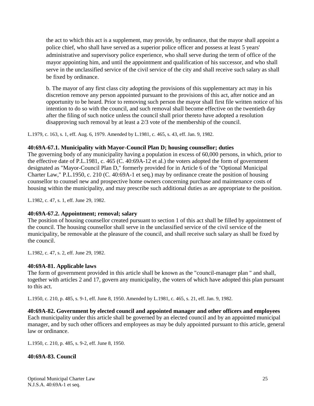the act to which this act is a supplement, may provide, by ordinance, that the mayor shall appoint a police chief, who shall have served as a superior police officer and possess at least 5 years' administrative and supervisory police experience, who shall serve during the term of office of the mayor appointing him, and until the appointment and qualification of his successor, and who shall serve in the unclassified service of the civil service of the city and shall receive such salary as shall be fixed by ordinance.

b. The mayor of any first class city adopting the provisions of this supplementary act may in his discretion remove any person appointed pursuant to the provisions of this act, after notice and an opportunity to be heard. Prior to removing such person the mayor shall first file written notice of his intention to do so with the council, and such removal shall become effective on the twentieth day after the filing of such notice unless the council shall prior thereto have adopted a resolution disapproving such removal by at least a 2/3 vote of the membership of the council.

L.1979, c. 163, s. 1, eff. Aug. 6, 1979. Amended by L.1981, c. 465, s. 43, eff. Jan. 9, 1982.

#### **40:69A-67.1. Municipality with Mayor-Council Plan D; housing counsellor; duties**

The governing body of any municipality having a population in excess of 60,000 persons, in which, prior to the effective date of P.L.1981, c. 465 (C. 40:69A-12 et al.) the voters adopted the form of government designated as "Mayor-Council Plan D," formerly provided for in Article 6 of the "Optional Municipal Charter Law," P.L.1950, c. 210 (C. 40:69A-1 et seq.) may by ordinance create the position of housing counsellor to counsel new and prospective home owners concerning purchase and maintenance costs of housing within the municipality, and may prescribe such additional duties as are appropriate to the position.

L.1982, c. 47, s. 1, eff. June 29, 1982.

# **40:69A-67.2. Appointment; removal; salary**

The position of housing counsellor created pursuant to section 1 of this act shall be filled by appointment of the council. The housing counsellor shall serve in the unclassified service of the civil service of the municipality, be removable at the pleasure of the council, and shall receive such salary as shall be fixed by the council.

L.1982, c. 47, s. 2, eff. June 29, 1982.

#### **40:69A-81. Applicable laws**

The form of government provided in this article shall be known as the "council-manager plan " and shall, together with articles 2 and 17, govern any municipality, the voters of which have adopted this plan pursuant to this act.

L.1950, c. 210, p. 485, s. 9-1, eff. June 8, 1950. Amended by L.1981, c. 465, s. 21, eff. Jan. 9, 1982.

**40:69A-82. Government by elected council and appointed manager and other officers and employees**  Each municipality under this article shall be governed by an elected council and by an appointed municipal manager, and by such other officers and employees as may be duly appointed pursuant to this article, general law or ordinance.

L.1950, c. 210, p. 485, s. 9-2, eff. June 8, 1950.

# **40:69A-83. Council**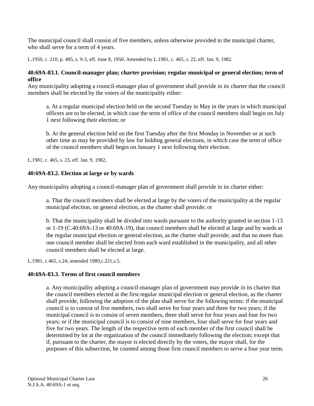The municipal council shall consist of five members, unless otherwise provided in the municipal charter, who shall serve for a term of 4 years.

L.1950, c. 210, p. 485, s. 9-3, eff. June 8, 1950. Amended by L.1981, c. 465, s. 22, eff. Jan. 9, 1982.

#### **40:69A-83.1. Council-manager plan; charter provision; regular municipal or general election; term of office**

Any municipality adopting a council-manager plan of government shall provide in its charter that the council members shall be elected by the voters of the municipality either:

a. At a regular municipal election held on the second Tuesday in May in the years in which municipal officers are to be elected, in which case the term of office of the council members shall begin on July 1 next following their election; or

b. At the general election held on the first Tuesday after the first Monday in November or at such other time as may be provided by law for holding general elections, in which case the term of office of the council members shall begin on January 1 next following their election.

L.1981, c. 465, s. 23, eff. Jan. 9, 1982.

#### **40:69A-83.2. Election at large or by wards**

Any municipality adopting a council-manager plan of government shall provide in its charter either:

a. That the council members shall be elected at large by the voters of the municipality at the regular municipal election, on general election, as the charter shall provide; or

b. That the municipality shall be divided into wards pursuant to the authority granted in section 1-13 or 1-19 (C.40:69A-13 or 40:69A-19), that council members shall be elected at large and by wards at the regular municipal election or general election, as the charter shall provide; and that no more than one council member shall be elected from each ward established in the municipality, and all other council members shall be elected at large.

L.1981, c.465, s.24; amended 1989,c.221,s.5.

#### **40:69A-83.3. Terms of first council members**

a. Any municipality adopting a council-manager plan of government may provide in its charter that the council members elected at the first regular municipal election or general election, as the charter shall provide, following the adoption of the plan shall serve for the following terms: if the municipal council is to consist of five members, two shall serve for four years and three for two years; if the municipal council is to consist of seven members, three shall serve for four years and four for two years; or if the municipal council is to consist of nine members, four shall serve for four years and five for two years. The length of the respective term of each member of the first council shall be determined by lot at the organization of the council immediately following the election; except that if, pursuant to the charter, the mayor is elected directly by the voters, the mayor shall, for the purposes of this subsection, be counted among those first council members to serve a four year term.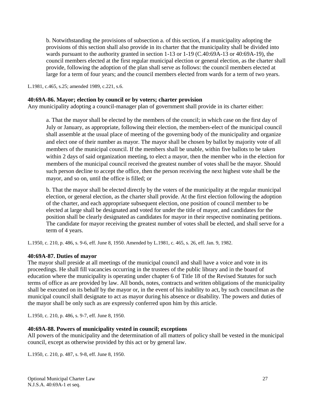b. Notwithstanding the provisions of subsection a. of this section, if a municipality adopting the provisions of this section shall also provide in its charter that the municipality shall be divided into wards pursuant to the authority granted in section 1-13 or 1-19 (C.40:69A-13 or 40:69A-19), the council members elected at the first regular municipal election or general election, as the charter shall provide, following the adoption of the plan shall serve as follows: the council members elected at large for a term of four years; and the council members elected from wards for a term of two years.

L.1981, c.465, s.25; amended 1989, c.221, s.6.

#### **40:69A-86. Mayor; election by council or by voters; charter provision**

Any municipality adopting a council-manager plan of government shall provide in its charter either:

a. That the mayor shall be elected by the members of the council; in which case on the first day of July or January, as appropriate, following their election, the members-elect of the municipal council shall assemble at the usual place of meeting of the governing body of the municipality and organize and elect one of their number as mayor. The mayor shall be chosen by ballot by majority vote of all members of the municipal council. If the members shall be unable, within five ballots to be taken within 2 days of said organization meeting, to elect a mayor, then the member who in the election for members of the municipal council received the greatest number of votes shall be the mayor. Should such person decline to accept the office, then the person receiving the next highest vote shall be the mayor, and so on, until the office is filled; or

b. That the mayor shall be elected directly by the voters of the municipality at the regular municipal election, or general election, as the charter shall provide. At the first election following the adoption of the charter, and each appropriate subsequent election, one position of council member to be elected at large shall be designated and voted for under the title of mayor, and candidates for the position shall be clearly designated as candidates for mayor in their respective nominating petitions. The candidate for mayor receiving the greatest number of votes shall be elected, and shall serve for a term of 4 years.

L.1950, c. 210, p. 486, s. 9-6, eff. June 8, 1950. Amended by L.1981, c. 465, s. 26, eff. Jan. 9, 1982.

#### **40:69A-87. Duties of mayor**

The mayor shall preside at all meetings of the municipal council and shall have a voice and vote in its proceedings. He shall fill vacancies occurring in the trustees of the public library and in the board of education where the municipality is operating under chapter 6 of Title 18 of the Revised Statutes for such terms of office as are provided by law. All bonds, notes, contracts and written obligations of the municipality shall be executed on its behalf by the mayor or, in the event of his inability to act, by such councilman as the municipal council shall designate to act as mayor during his absence or disability. The powers and duties of the mayor shall be only such as are expressly conferred upon him by this article.

L.1950, c. 210, p. 486, s. 9-7, eff. June 8, 1950.

#### **40:69A-88. Powers of municipality vested in council; exceptions**

All powers of the municipality and the determination of all matters of policy shall be vested in the municipal council, except as otherwise provided by this act or by general law.

L.1950, c. 210, p. 487, s. 9-8, eff. June 8, 1950.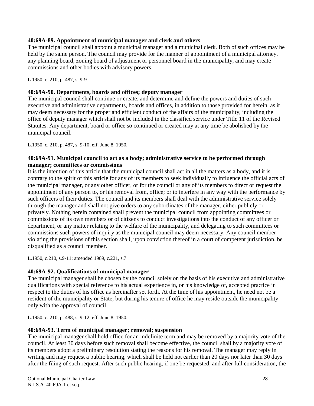## **40:69A-89. Appointment of municipal manager and clerk and others**

The municipal council shall appoint a municipal manager and a municipal clerk. Both of such offices may be held by the same person. The council may provide for the manner of appointment of a municipal attorney, any planning board, zoning board of adjustment or personnel board in the municipality, and may create commissions and other bodies with advisory powers.

L.1950, c. 210, p. 487, s. 9-9.

#### **40:69A-90. Departments, boards and offices; deputy manager**

The municipal council shall continue or create, and determine and define the powers and duties of such executive and administrative departments, boards and offices, in addition to those provided for herein, as it may deem necessary for the proper and efficient conduct of the affairs of the municipality, including the office of deputy manager which shall not be included in the classified service under Title 11 of the Revised Statutes. Any department, board or office so continued or created may at any time be abolished by the municipal council.

L.1950, c. 210, p. 487, s. 9-10, eff. June 8, 1950.

# **40:69A-91. Municipal council to act as a body; administrative service to be performed through manager; committees or commissions**

It is the intention of this article that the municipal council shall act in all the matters as a body, and it is contrary to the spirit of this article for any of its members to seek individually to influence the official acts of the municipal manager, or any other officer, or for the council or any of its members to direct or request the appointment of any person to, or his removal from, office; or to interfere in any way with the performance by such officers of their duties. The council and its members shall deal with the administrative service solely through the manager and shall not give orders to any subordinates of the manager, either publicly or privately. Nothing herein contained shall prevent the municipal council from appointing committees or commissions of its own members or of citizens to conduct investigations into the conduct of any officer or department, or any matter relating to the welfare of the municipality, and delegating to such committees or commissions such powers of inquiry as the municipal council may deem necessary. Any council member violating the provisions of this section shall, upon conviction thereof in a court of competent jurisdiction, be disqualified as a council member.

L.1950, c.210, s.9-11; amended 1989, c.221, s.7.

#### **40:69A-92. Qualifications of municipal manager**

The municipal manager shall be chosen by the council solely on the basis of his executive and administrative qualifications with special reference to his actual experience in, or his knowledge of, accepted practice in respect to the duties of his office as hereinafter set forth. At the time of his appointment, he need not be a resident of the municipality or State, but during his tenure of office he may reside outside the municipality only with the approval of council.

L.1950, c. 210, p. 488, s. 9-12, eff. June 8, 1950.

#### **40:69A-93. Term of municipal manager; removal; suspension**

The municipal manager shall hold office for an indefinite term and may be removed by a majority vote of the council. At least 30 days before such removal shall become effective, the council shall by a majority vote of its members adopt a preliminary resolution stating the reasons for his removal. The manager may reply in writing and may request a public hearing, which shall be held not earlier than 20 days nor later than 30 days after the filing of such request. After such public hearing, if one be requested, and after full consideration, the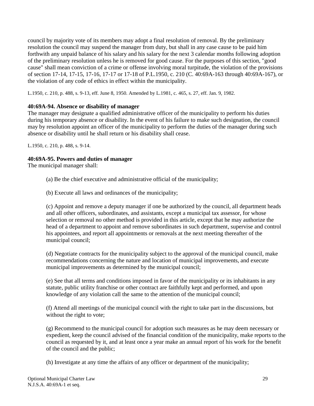council by majority vote of its members may adopt a final resolution of removal. By the preliminary resolution the council may suspend the manager from duty, but shall in any case cause to be paid him forthwith any unpaid balance of his salary and his salary for the next 3 calendar months following adoption of the preliminary resolution unless he is removed for good cause. For the purposes of this section, "good cause" shall mean conviction of a crime or offense involving moral turpitude, the violation of the provisions of section 17-14, 17-15, 17-16, 17-17 or 17-18 of P.L.1950, c. 210 (C. 40:69A-163 through 40:69A-167), or the violation of any code of ethics in effect within the municipality.

L.1950, c. 210, p. 488, s. 9-13, eff. June 8, 1950. Amended by L.1981, c. 465, s. 27, eff. Jan. 9, 1982.

# **40:69A-94. Absence or disability of manager**

The manager may designate a qualified administrative officer of the municipality to perform his duties during his temporary absence or disability. In the event of his failure to make such designation, the council may by resolution appoint an officer of the municipality to perform the duties of the manager during such absence or disability until he shall return or his disability shall cease.

L.1950, c. 210, p. 488, s. 9-14.

# **40:69A-95. Powers and duties of manager**

The municipal manager shall:

- (a) Be the chief executive and administrative official of the municipality;
- (b) Execute all laws and ordinances of the municipality;

(c) Appoint and remove a deputy manager if one be authorized by the council, all department heads and all other officers, subordinates, and assistants, except a municipal tax assessor, for whose selection or removal no other method is provided in this article, except that he may authorize the head of a department to appoint and remove subordinates in such department, supervise and control his appointees, and report all appointments or removals at the next meeting thereafter of the municipal council;

(d) Negotiate contracts for the municipality subject to the approval of the municipal council, make recommendations concerning the nature and location of municipal improvements, and execute municipal improvements as determined by the municipal council;

(e) See that all terms and conditions imposed in favor of the municipality or its inhabitants in any statute, public utility franchise or other contract are faithfully kept and performed, and upon knowledge of any violation call the same to the attention of the municipal council;

(f) Attend all meetings of the municipal council with the right to take part in the discussions, but without the right to vote;

(g) Recommend to the municipal council for adoption such measures as he may deem necessary or expedient, keep the council advised of the financial condition of the municipality, make reports to the council as requested by it, and at least once a year make an annual report of his work for the benefit of the council and the public;

(h) Investigate at any time the affairs of any officer or department of the municipality;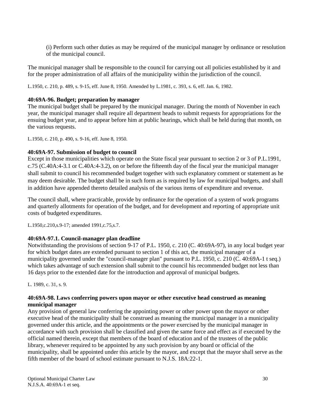(i) Perform such other duties as may be required of the municipal manager by ordinance or resolution of the municipal council.

The municipal manager shall be responsible to the council for carrying out all policies established by it and for the proper administration of all affairs of the municipality within the jurisdiction of the council.

L.1950, c. 210, p. 489, s. 9-15, eff. June 8, 1950. Amended by L.1981, c. 393, s. 6, eff. Jan. 6, 1982.

## **40:69A-96. Budget; preparation by manager**

The municipal budget shall be prepared by the municipal manager. During the month of November in each year, the municipal manager shall require all department heads to submit requests for appropriations for the ensuing budget year, and to appear before him at public hearings, which shall be held during that month, on the various requests.

L.1950, c. 210, p. 490, s. 9-16, eff. June 8, 1950.

# **40:69A-97. Submission of budget to council**

Except in those municipalities which operate on the State fiscal year pursuant to section 2 or 3 of P.L.1991, c.75 (C.40A:4-3.1 or C.40A:4-3.2), on or before the fifteenth day of the fiscal year the municipal manager shall submit to council his recommended budget together with such explanatory comment or statement as he may deem desirable. The budget shall be in such form as is required by law for municipal budgets, and shall in addition have appended thereto detailed analysis of the various items of expenditure and revenue.

The council shall, where practicable, provide by ordinance for the operation of a system of work programs and quarterly allotments for operation of the budget, and for development and reporting of appropriate unit costs of budgeted expenditures.

L.1950,c.210,s.9-17; amended 1991,c.75,s.7.

# **40:69A-97.1. Council-manager plan deadline**

Notwithstanding the provisions of section 9-17 of P.L. 1950, c. 210 (C. 40:69A-97), in any local budget year for which budget dates are extended pursuant to section 1 of this act, the municipal manager of a municipality governed under the "council-manager plan" pursuant to P.L. 1950, c. 210 (C. 40:69A-1 t seq.) which takes advantage of such extension shall submit to the council his recommended budget not less than 16 days prior to the extended date for the introduction and approval of municipal budgets.

L. 1989, c. 31, s. 9.

#### **40:69A-98. Laws conferring powers upon mayor or other executive head construed as meaning municipal manager**

Any provision of general law conferring the appointing power or other power upon the mayor or other executive head of the municipality shall be construed as meaning the municipal manager in a municipality governed under this article, and the appointments or the power exercised by the municipal manager in accordance with such provision shall be classified and given the same force and effect as if executed by the official named therein, except that members of the board of education and of the trustees of the public library, whenever required to be appointed by any such provision by any board or official of the municipality, shall be appointed under this article by the mayor, and except that the mayor shall serve as the fifth member of the board of school estimate pursuant to N.J.S. 18A:22-1.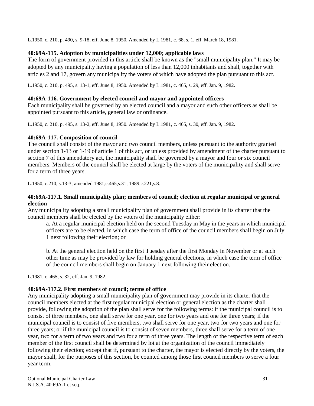L.1950, c. 210, p. 490, s. 9-18, eff. June 8, 1950. Amended by L.1981, c. 68, s. 1, eff. March 18, 1981.

# **40:69A-115. Adoption by municipalities under 12,000; applicable laws**

The form of government provided in this article shall be known as the "small municipality plan." It may be adopted by any municipality having a population of less than 12,000 inhabitants and shall, together with articles 2 and 17, govern any municipality the voters of which have adopted the plan pursuant to this act.

L.1950, c. 210, p. 495, s. 13-1, eff. June 8, 1950. Amended by L.1981, c. 465, s. 29, eff. Jan. 9, 1982.

#### **40:69A-116. Government by elected council and mayor and appointed officers**

Each municipality shall be governed by an elected council and a mayor and such other officers as shall be appointed pursuant to this article, general law or ordinance.

L.1950, c. 210, p. 495, s. 13-2, eff. June 8, 1950. Amended by L.1981, c. 465, s. 30, eff. Jan. 9, 1982.

#### **40:69A-117. Composition of council**

The council shall consist of the mayor and two council members, unless pursuant to the authority granted under section 1-13 or 1-19 of article 1 of this act, or unless provided by amendment of the charter pursuant to section 7 of this amendatory act, the municipality shall be governed by a mayor and four or six council members. Members of the council shall be elected at large by the voters of the municipality and shall serve for a term of three years.

L.1950, c.210, s.13-3; amended 1981,c.465,s.31; 1989,c.221,s.8.

#### **40:69A-117.1. Small municipality plan; members of council; election at regular municipal or general election**

Any municipality adopting a small municipality plan of government shall provide in its charter that the council members shall be elected by the voters of the municipality either:

a. At a regular municipal election held on the second Tuesday in May in the years in which municipal officers are to be elected, in which case the term of office of the council members shall begin on July 1 next following their election; or

b. At the general election held on the first Tuesday after the first Monday in November or at such other time as may be provided by law for holding general elections, in which case the term of office of the council members shall begin on January 1 next following their election.

L.1981, c. 465, s. 32, eff. Jan. 9, 1982.

#### **40:69A-117.2. First members of council; terms of office**

Any municipality adopting a small municipality plan of government may provide in its charter that the council members elected at the first regular municipal election or general election as the charter shall provide, following the adoption of the plan shall serve for the following terms: if the municipal council is to consist of three members, one shall serve for one year, one for two years and one for three years; if the municipal council is to consist of five members, two shall serve for one year, two for two years and one for three years; or if the municipal council is to consist of seven members, three shall serve for a term of one year, two for a term of two years and two for a term of three years. The length of the respective term of each member of the first council shall be determined by lot at the organization of the council immediately following their election; except that if, pursuant to the charter, the mayor is elected directly by the voters, the mayor shall, for the purposes of this section, be counted among those first council members to serve a four year term.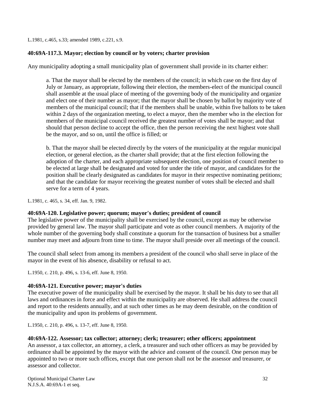L.1981, c.465, s.33; amended 1989, c.221, s.9.

#### **40:69A-117.3. Mayor; election by council or by voters; charter provision**

Any municipality adopting a small municipality plan of government shall provide in its charter either:

a. That the mayor shall be elected by the members of the council; in which case on the first day of July or January, as appropriate, following their election, the members-elect of the municipal council shall assemble at the usual place of meeting of the governing body of the municipality and organize and elect one of their number as mayor; that the mayor shall be chosen by ballot by majority vote of members of the municipal council; that if the members shall be unable, within five ballots to be taken within 2 days of the organization meeting, to elect a mayor, then the member who in the election for members of the municipal council received the greatest number of votes shall be mayor; and that should that person decline to accept the office, then the person receiving the next highest vote shall be the mayor, and so on, until the office is filled; or

b. That the mayor shall be elected directly by the voters of the municipality at the regular municipal election, or general election, as the charter shall provide; that at the first election following the adoption of the charter, and each appropriate subsequent election, one position of council member to be elected at large shall be designated and voted for under the title of mayor, and candidates for the position shall be clearly designated as candidates for mayor in their respective nominating petitions; and that the candidate for mayor receiving the greatest number of votes shall be elected and shall serve for a term of 4 years.

L.1981, c. 465, s. 34, eff. Jan. 9, 1982.

#### **40:69A-120. Legislative power; quorum; mayor's duties; president of council**

The legislative power of the municipality shall be exercised by the council, except as may be otherwise provided by general law. The mayor shall participate and vote as other council members. A majority of the whole number of the governing body shall constitute a quorum for the transaction of business but a smaller number may meet and adjourn from time to time. The mayor shall preside over all meetings of the council.

The council shall select from among its members a president of the council who shall serve in place of the mayor in the event of his absence, disability or refusal to act.

L.1950, c. 210, p. 496, s. 13-6, eff. June 8, 1950.

#### **40:69A-121. Executive power; mayor's duties**

The executive power of the municipality shall be exercised by the mayor. It shall be his duty to see that all laws and ordinances in force and effect within the municipality are observed. He shall address the council and report to the residents annually, and at such other times as he may deem desirable, on the condition of the municipality and upon its problems of government.

L.1950, c. 210, p. 496, s. 13-7, eff. June 8, 1950.

#### **40:69A-122. Assessor; tax collector; attorney; clerk; treasurer; other officers; appointment**

An assessor, a tax collector, an attorney, a clerk, a treasurer and such other officers as may be provided by ordinance shall be appointed by the mayor with the advice and consent of the council. One person may be appointed to two or more such offices, except that one person shall not be the assessor and treasurer, or assessor and collector.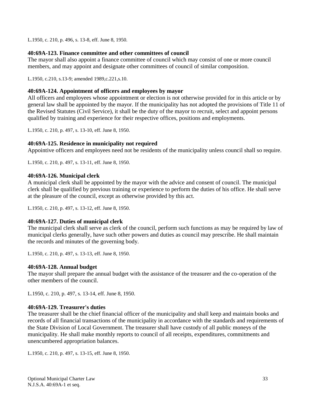L.1950, c. 210, p. 496, s. 13-8, eff. June 8, 1950.

# **40:69A-123. Finance committee and other committees of council**

The mayor shall also appoint a finance committee of council which may consist of one or more council members, and may appoint and designate other committees of council of similar composition.

L.1950, c.210, s.13-9; amended 1989,c.221,s.10.

#### **40:69A-124. Appointment of officers and employees by mayor**

All officers and employees whose appointment or election is not otherwise provided for in this article or by general law shall be appointed by the mayor. If the municipality has not adopted the provisions of Title 11 of the Revised Statutes (Civil Service), it shall be the duty of the mayor to recruit, select and appoint persons qualified by training and experience for their respective offices, positions and employments.

L.1950, c. 210, p. 497, s. 13-10, eff. June 8, 1950.

# **40:69A-125. Residence in municipality not required**

Appointive officers and employees need not be residents of the municipality unless council shall so require.

L.1950, c. 210, p. 497, s. 13-11, eff. June 8, 1950.

# **40:69A-126. Municipal clerk**

A municipal clerk shall be appointed by the mayor with the advice and consent of council. The municipal clerk shall be qualified by previous training or experience to perform the duties of his office. He shall serve at the pleasure of the council, except as otherwise provided by this act.

L.1950, c. 210, p. 497, s. 13-12, eff. June 8, 1950.

# **40:69A-127. Duties of municipal clerk**

The municipal clerk shall serve as clerk of the council, perform such functions as may be required by law of municipal clerks generally, have such other powers and duties as council may prescribe. He shall maintain the records and minutes of the governing body.

L.1950, c. 210, p. 497, s. 13-13, eff. June 8, 1950.

#### **40:69A-128. Annual budget**

The mayor shall prepare the annual budget with the assistance of the treasurer and the co-operation of the other members of the council.

L.1950, c. 210, p. 497, s. 13-14, eff. June 8, 1950.

#### **40:69A-129. Treasurer's duties**

The treasurer shall be the chief financial officer of the municipality and shall keep and maintain books and records of all financial transactions of the municipality in accordance with the standards and requirements of the State Division of Local Government. The treasurer shall have custody of all public moneys of the municipality. He shall make monthly reports to council of all receipts, expenditures, commitments and unencumbered appropriation balances.

L.1950, c. 210, p. 497, s. 13-15, eff. June 8, 1950.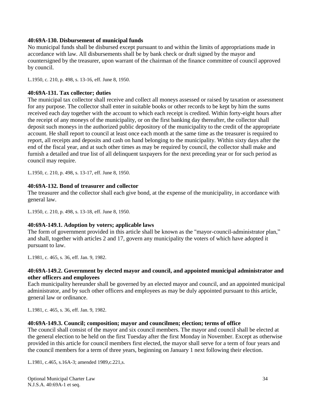#### **40:69A-130. Disbursement of municipal funds**

No municipal funds shall be disbursed except pursuant to and within the limits of appropriations made in accordance with law. All disbursements shall be by bank check or draft signed by the mayor and countersigned by the treasurer, upon warrant of the chairman of the finance committee of council approved by council.

L.1950, c. 210, p. 498, s. 13-16, eff. June 8, 1950.

#### **40:69A-131. Tax collector; duties**

The municipal tax collector shall receive and collect all moneys assessed or raised by taxation or assessment for any purpose. The collector shall enter in suitable books or other records to be kept by him the sums received each day together with the account to which each receipt is credited. Within forty-eight hours after the receipt of any moneys of the municipality, or on the first banking day thereafter, the collector shall deposit such moneys in the authorized public depository of the municipality to the credit of the appropriate account. He shall report to council at least once each month at the same time as the treasurer is required to report, all receipts and deposits and cash on hand belonging to the municipality. Within sixty days after the end of the fiscal year, and at such other times as may be required by council, the collector shall make and furnish a detailed and true list of all delinquent taxpayers for the next preceding year or for such period as council may require.

L.1950, c. 210, p. 498, s. 13-17, eff. June 8, 1950.

#### **40:69A-132. Bond of treasurer and collector**

The treasurer and the collector shall each give bond, at the expense of the municipality, in accordance with general law.

L.1950, c. 210, p. 498, s. 13-18, eff. June 8, 1950.

#### **40:69A-149.1. Adoption by voters; applicable laws**

The form of government provided in this article shall be known as the "mayor-council-administrator plan," and shall, together with articles 2 and 17, govern any municipality the voters of which have adopted it pursuant to law.

L.1981, c. 465, s. 36, eff. Jan. 9, 1982.

#### **40:69A-149.2. Government by elected mayor and council, and appointed municipal administrator and other officers and employees**

Each municipality hereunder shall be governed by an elected mayor and council, and an appointed municipal administrator, and by such other officers and employees as may be duly appointed pursuant to this article, general law or ordinance.

L.1981, c. 465, s. 36, eff. Jan. 9, 1982.

#### **40:69A-149.3. Council; composition; mayor and councilmen; election; terms of office**

The council shall consist of the mayor and six council members. The mayor and council shall be elected at the general election to be held on the first Tuesday after the first Monday in November. Except as otherwise provided in this article for council members first elected, the mayor shall serve for a term of four years and the council members for a term of three years, beginning on January 1 next following their election.

L.1981, c.465, s.16A-3; amended 1989,c.221,s.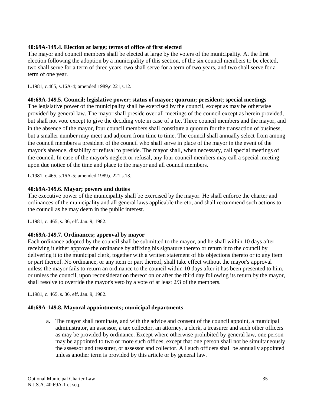## **40:69A-149.4. Election at large; terms of office of first elected**

The mayor and council members shall be elected at large by the voters of the municipality. At the first election following the adoption by a municipality of this section, of the six council members to be elected, two shall serve for a term of three years, two shall serve for a term of two years, and two shall serve for a term of one year.

L.1981, c.465, s.16A-4; amended 1989,c.221,s.12.

# **40:69A-149.5. Council; legislative power; status of mayor; quorum; president; special meetings**

The legislative power of the municipality shall be exercised by the council, except as may be otherwise provided by general law. The mayor shall preside over all meetings of the council except as herein provided, but shall not vote except to give the deciding vote in case of a tie. Three council members and the mayor, and in the absence of the mayor, four council members shall constitute a quorum for the transaction of business, but a smaller number may meet and adjourn from time to time. The council shall annually select from among the council members a president of the council who shall serve in place of the mayor in the event of the mayor's absence, disability or refusal to preside. The mayor shall, when necessary, call special meetings of the council. In case of the mayor's neglect or refusal, any four council members may call a special meeting upon due notice of the time and place to the mayor and all council members.

L.1981, c.465, s.16A-5; amended 1989,c.221,s.13.

# **40:69A-149.6. Mayor; powers and duties**

The executive power of the municipality shall be exercised by the mayor. He shall enforce the charter and ordinances of the municipality and all general laws applicable thereto, and shall recommend such actions to the council as he may deem in the public interest.

L.1981, c. 465, s. 36, eff. Jan. 9, 1982.

# **40:69A-149.7. Ordinances; approval by mayor**

Each ordinance adopted by the council shall be submitted to the mayor, and he shall within 10 days after receiving it either approve the ordinance by affixing his signature thereto or return it to the council by delivering it to the municipal clerk, together with a written statement of his objections thereto or to any item or part thereof. No ordinance, or any item or part thereof, shall take effect without the mayor's approval unless the mayor fails to return an ordinance to the council within 10 days after it has been presented to him, or unless the council, upon reconsideration thereof on or after the third day following its return by the mayor, shall resolve to override the mayor's veto by a vote of at least 2/3 of the members.

L.1981, c. 465, s. 36, eff. Jan. 9, 1982.

#### **40:69A-149.8. Mayoral appointments; municipal departments**

a. The mayor shall nominate, and with the advice and consent of the council appoint, a municipal administrator, an assessor, a tax collector, an attorney, a clerk, a treasurer and such other officers as may be provided by ordinance. Except where otherwise prohibited by general law, one person may be appointed to two or more such offices, except that one person shall not be simultaneously the assessor and treasurer, or assessor and collector. All such officers shall be annually appointed unless another term is provided by this article or by general law.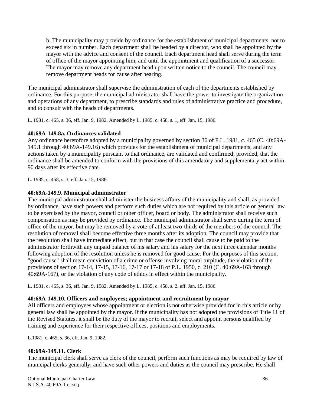b. The municipality may provide by ordinance for the establishment of municipal departments, not to exceed six in number. Each department shall be headed by a director, who shall be appointed by the mayor with the advice and consent of the council. Each department head shall serve during the term of office of the mayor appointing him, and until the appointment and qualification of a successor. The mayor may remove any department head upon written notice to the council. The council may remove department heads for cause after hearing.

The municipal administrator shall supervise the administration of each of the departments established by ordinance. For this purpose, the municipal administrator shall have the power to investigate the organization and operations of any department, to prescribe standards and rules of administrative practice and procedure, and to consult with the heads of departments.

L. 1981, c. 465, s. 36, eff. Jan. 9, 1982. Amended by L. 1985, c. 458, s. 1, eff. Jan. 15, 1986.

#### **40:69A-149.8a. Ordinances validated**

Any ordinance heretofore adopted by a municipality governed by section 36 of P.L. 1981, c. 465 (C. 40:69A-149.1 through 40:69A-149.16) which provides for the establishment of municipal departments, and any actions taken by a municipality pursuant to that ordinance, are validated and confirmed; provided, that the ordinance shall be amended to conform with the provisions of this amendatory and supplementary act within 90 days after its effective date.

L. 1985, c. 458, s. 3, eff. Jan. 15, 1986.

# **40:69A-149.9. Municipal administrator**

The municipal administrator shall administer the business affairs of the municipality and shall, as provided by ordinance, have such powers and perform such duties which are not required by this article or general law to be exercised by the mayor, council or other officer, board or body. The administrator shall receive such compensation as may be provided by ordinance. The municipal administrator shall serve during the term of office of the mayor, but may be removed by a vote of at least two-thirds of the members of the council. The resolution of removal shall become effective three months after its adoption. The council may provide that the resolution shall have immediate effect, but in that case the council shall cause to be paid to the administrator forthwith any unpaid balance of his salary and his salary for the next three calendar months following adoption of the resolution unless he is removed for good cause. For the purposes of this section, "good cause" shall mean conviction of a crime or offense involving moral turpitude, the violation of the provisions of section 17-14, 17-15, 17-16, 17-17 or 17-18 of P.L. 1950, c. 210 (C. 40:69A-163 through 40:69A-167), or the violation of any code of ethics in effect within the municipality.

L. 1981, c. 465, s. 36, eff. Jan. 9, 1982. Amended by L. 1985, c. 458, s. 2, eff. Jan. 15, 1986.

#### **40:69A-149.10. Officers and employees; appointment and recruitment by mayor**

All officers and employees whose appointment or election is not otherwise provided for in this article or by general law shall be appointed by the mayor. If the municipality has not adopted the provisions of Title 11 of the Revised Statutes, it shall be the duty of the mayor to recruit, select and appoint persons qualified by training and experience for their respective offices, positions and employments.

L.1981, c. 465, s. 36, eff. Jan. 9, 1982.

#### **40:69A-149.11. Clerk**

The municipal clerk shall serve as clerk of the council, perform such functions as may be required by law of municipal clerks generally, and have such other powers and duties as the council may prescribe. He shall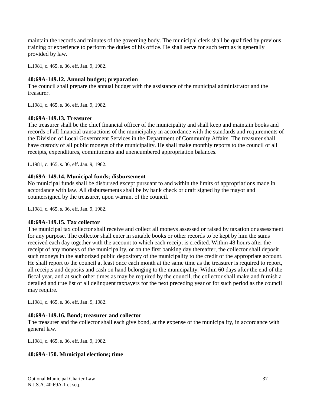maintain the records and minutes of the governing body. The municipal clerk shall be qualified by previous training or experience to perform the duties of his office. He shall serve for such term as is generally provided by law.

L.1981, c. 465, s. 36, eff. Jan. 9, 1982.

# **40:69A-149.12. Annual budget; preparation**

The council shall prepare the annual budget with the assistance of the municipal administrator and the treasurer.

L.1981, c. 465, s. 36, eff. Jan. 9, 1982.

#### **40:69A-149.13. Treasurer**

The treasurer shall be the chief financial officer of the municipality and shall keep and maintain books and records of all financial transactions of the municipality in accordance with the standards and requirements of the Division of Local Government Services in the Department of Community Affairs. The treasurer shall have custody of all public moneys of the municipality. He shall make monthly reports to the council of all receipts, expenditures, commitments and unencumbered appropriation balances.

L.1981, c. 465, s. 36, eff. Jan. 9, 1982.

#### **40:69A-149.14. Municipal funds; disbursement**

No municipal funds shall be disbursed except pursuant to and within the limits of appropriations made in accordance with law. All disbursements shall be by bank check or draft signed by the mayor and countersigned by the treasurer, upon warrant of the council.

L.1981, c. 465, s. 36, eff. Jan. 9, 1982.

#### **40:69A-149.15. Tax collector**

The municipal tax collector shall receive and collect all moneys assessed or raised by taxation or assessment for any purpose. The collector shall enter in suitable books or other records to be kept by him the sums received each day together with the account to which each receipt is credited. Within 48 hours after the receipt of any moneys of the municipality, or on the first banking day thereafter, the collector shall deposit such moneys in the authorized public depository of the municipality to the credit of the appropriate account. He shall report to the council at least once each month at the same time as the treasurer is required to report, all receipts and deposits and cash on hand belonging to the municipality. Within 60 days after the end of the fiscal year, and at such other times as may be required by the council, the collector shall make and furnish a detailed and true list of all delinquent taxpayers for the next preceding year or for such period as the council may require.

L.1981, c. 465, s. 36, eff. Jan. 9, 1982.

# **40:69A-149.16. Bond; treasurer and collector**

The treasurer and the collector shall each give bond, at the expense of the municipality, in accordance with general law.

L.1981, c. 465, s. 36, eff. Jan. 9, 1982.

#### **40:69A-150. Municipal elections; time**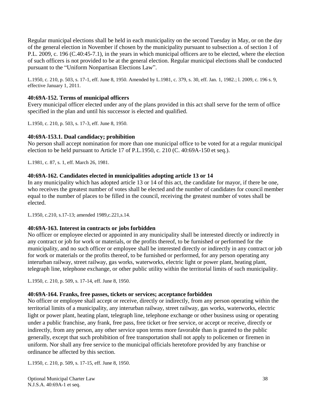Regular municipal elections shall be held in each municipality on the second Tuesday in May, or on the day of the general election in November if chosen by the municipality pursuant to subsection a. of section 1 of P.L. 2009, c. 196 (C.40:45-7.1), in the years in which municipal officers are to be elected, where the election of such officers is not provided to be at the general election. Regular municipal elections shall be conducted pursuant to the "Uniform Nonpartisan Elections Law".

L.1950, c. 210, p. 503, s. 17-1, eff. June 8, 1950. Amended by L.1981, c. 379, s. 30, eff. Jan. 1, 1982.; l. 2009, c. 196 s. 9, effective January 1, 2011.

#### **40:69A-152. Terms of municipal officers**

Every municipal officer elected under any of the plans provided in this act shall serve for the term of office specified in the plan and until his successor is elected and qualified.

L.1950, c. 210, p. 503, s. 17-3, eff. June 8, 1950.

#### **40:69A-153.1. Dual candidacy; prohibition**

No person shall accept nomination for more than one municipal office to be voted for at a regular municipal election to be held pursuant to Article 17 of P.L.1950, c. 210 (C. 40:69A-150 et seq.).

L.1981, c. 87, s. 1, eff. March 26, 1981.

#### **40:69A-162. Candidates elected in municipalities adopting article 13 or 14**

In any municipality which has adopted article 13 or 14 of this act, the candidate for mayor, if there be one, who receives the greatest number of votes shall be elected and the number of candidates for council member equal to the number of places to be filled in the council, receiving the greatest number of votes shall be elected.

L.1950, c.210, s.17-13; amended 1989,c.221,s.14.

#### **40:69A-163. Interest in contracts or jobs forbidden**

No officer or employee elected or appointed in any municipality shall be interested directly or indirectly in any contract or job for work or materials, or the profits thereof, to be furnished or performed for the municipality, and no such officer or employee shall be interested directly or indirectly in any contract or job for work or materials or the profits thereof, to be furnished or performed, for any person operating any interurban railway, street railway, gas works, waterworks, electric light or power plant, heating plant, telegraph line, telephone exchange, or other public utility within the territorial limits of such municipality.

L.1950, c. 210, p. 509, s. 17-14, eff. June 8, 1950.

#### **40:69A-164. Franks, free passes, tickets or services; acceptance forbidden**

No officer or employee shall accept or receive, directly or indirectly, from any person operating within the territorial limits of a municipality, any interurban railway, street railway, gas works, waterworks, electric light or power plant, heating plant, telegraph line, telephone exchange or other business using or operating under a public franchise, any frank, free pass, free ticket or free service, or accept or receive, directly or indirectly, from any person, any other service upon terms more favorable than is granted to the public generally, except that such prohibition of free transportation shall not apply to policemen or firemen in uniform. Nor shall any free service to the municipal officials heretofore provided by any franchise or ordinance be affected by this section.

L.1950, c. 210, p. 509, s. 17-15, eff. June 8, 1950.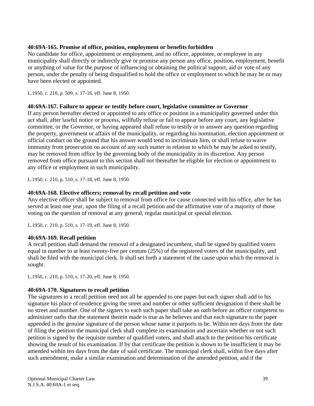#### **40:69A-165. Promise of office, position, employment or benefits forbidden**

No candidate for office, appointment or employment, and no officer, appointee, or employee in any municipality shall directly or indirectly give or promise any person any office, position, employment, benefit or anything of value for the purpose of influencing or obtaining the political support, aid or vote of any person, under the penalty of being disqualified to hold the office or employment to which he may be or may have been elected or appointed.

L.1950, c. 210, p. 509, s. 17-16, eff. June 8, 1950.

#### **40:69A-167. Failure to appear or testify before court, legislative committee or Governor**

If any person hereafter elected or appointed to any office or position in a municipality governed under this act shall, after lawful notice or process, willfully refuse or fail to appear before any court, any legislative committee, or the Governor, or having appeared shall refuse to testify or to answer any question regarding the property, government or affairs of the municipality, or regarding his nomination, election appointment or official conduct on the ground that his answer would tend to incriminate him, or shall refuse to waive immunity from prosecution on account of any such matter in relation to which he may be asked to testify, may be removed from office by the governing body of the municipality in its discretion. Any person removed from office pursuant to this section shall not thereafter be eligible for election or appointment to any office or employment in such municipality.

L.1950, c. 210, p. 510, s. 17-18, eff. June 8, 1950.

# **40:69A-168. Elective officers; removal by recall petition and vote**

Any elective officer shall be subject to removal from office for cause connected with his office, after he has served at least one year, upon the filing of a recall petition and the affirmative vote of a majority of those voting on the question of removal at any general, regular municipal or special election.

L.1950, c. 210, p. 510, s. 17-19, eff. June 8, 1950.

#### **40:69A-169. Recall petition**

A recall petition shall demand the removal of a designated incumbent, shall be signed by qualified voters equal in number to at least twenty-five per centum (25%) of the registered voters of the municipality, and shall be filed with the municipal clerk. It shall set forth a statement of the cause upon which the removal is sought.

L.1950, c. 210, p. 510, s. 17-20, eff. June 8, 1950.

# **40:69A-170. Signatures to recall petition**

The signatures to a recall petition need not all be appended to one paper but each signer shall add to his signature his place of residence giving the street and number or other sufficient designation if there shall be no street and number. One of the signers to each such paper shall take an oath before an officer competent to administer oaths that the statement therein made is true as he believes and that each signature to the paper appended is the genuine signature of the person whose name it purports to be. Within ten days from the date of filing the petition the municipal clerk shall complete its examination and ascertain whether or not such petition is signed by the requisite number of qualified voters, and shall attach to the petition his certificate showing the result of his examination. If by that certificate the petition is shown to be insufficient it may be amended within ten days from the date of said certificate. The municipal clerk shall, within five days after such amendment, make a similar examination and determination of the amended petition, and if the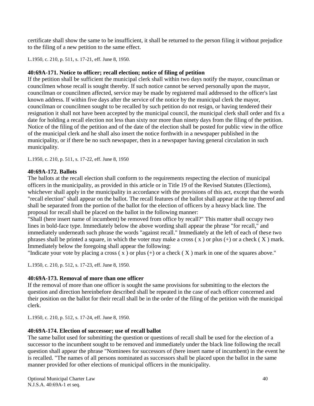certificate shall show the same to be insufficient, it shall be returned to the person filing it without prejudice to the filing of a new petition to the same effect.

L.1950, c. 210, p. 511, s. 17-21, eff. June 8, 1950.

#### **40:69A-171. Notice to officer; recall election; notice of filing of petition**

If the petition shall be sufficient the municipal clerk shall within two days notify the mayor, councilman or councilmen whose recall is sought thereby. If such notice cannot be served personally upon the mayor, councilman or councilmen affected, service may be made by registered mail addressed to the officer's last known address. If within five days after the service of the notice by the municipal clerk the mayor, councilman or councilmen sought to be recalled by such petition do not resign, or having tendered their resignation it shall not have been accepted by the municipal council, the municipal clerk shall order and fix a date for holding a recall election not less than sixty nor more than ninety days from the filing of the petition. Notice of the filing of the petition and of the date of the election shall be posted for public view in the office of the municipal clerk and he shall also insert the notice forthwith in a newspaper published in the municipality, or if there be no such newspaper, then in a newspaper having general circulation in such municipality.

L.1950, c. 210, p. 511, s. 17-22, eff. June 8, 1950

#### **40:69A-172. Ballots**

The ballots at the recall election shall conform to the requirements respecting the election of municipal officers in the municipality, as provided in this article or in Title 19 of the Revised Statutes (Elections), whichever shall apply in the municipality in accordance with the provisions of this act, except that the words "recall election" shall appear on the ballot. The recall features of the ballot shall appear at the top thereof and shall be separated from the portion of the ballot for the election of officers by a heavy black line. The proposal for recall shall be placed on the ballot in the following manner:

"Shall (here insert name of incumbent) be removed from office by recall?" This matter shall occupy two lines in bold-face type. Immediately below the above wording shall appear the phrase "for recall," and immediately underneath such phrase the words "against recall." Immediately at the left of each of these two phrases shall be printed a square, in which the voter may make a cross  $(x)$  or plus  $(+)$  or a check  $(X)$  mark. Immediately below the foregoing shall appear the following:

"Indicate your vote by placing a cross ( x ) or plus (+) or a check ( X ) mark in one of the squares above."

L.1950, c. 210, p. 512, s. 17-23, eff. June 8, 1950.

# **40:69A-173. Removal of more than one officer**

If the removal of more than one officer is sought the same provisions for submitting to the electors the question and direction hereinbefore described shall be repeated in the case of each officer concerned and their position on the ballot for their recall shall be in the order of the filing of the petition with the municipal clerk.

L.1950, c. 210, p. 512, s. 17-24, eff. June 8, 1950.

#### **40:69A-174. Election of successor; use of recall ballot**

The same ballot used for submitting the question or questions of recall shall be used for the election of a successor to the incumbent sought to be removed and immediately under the black line following the recall question shall appear the phrase "Nominees for successors of (here insert name of incumbent) in the event he is recalled. "The names of all persons nominated as successors shall be placed upon the ballot in the same manner provided for other elections of municipal officers in the municipality.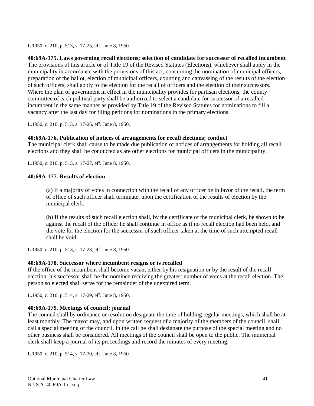L.1950, c. 210, p. 513, s. 17-25, eff. June 8, 1950.

**40:69A-175. Laws governing recall elections; selection of candidate for successor of recalled incumbent**  The provisions of this article or of Title 19 of the Revised Statutes (Elections), whichever shall apply in the municipality in accordance with the provisions of this act, concerning the nomination of municipal officers, preparation of the ballot, election of municipal officers, counting and canvassing of the results of the election of such officers, shall apply to the election for the recall of officers and the election of their successors. Where the plan of government in effect in the municipality provides for partisan elections, the county committee of each political party shall be authorized to select a candidate for successor of a recalled incumbent in the same manner as provided by Title 19 of the Revised Statutes for nominations to fill a vacancy after the last day for filing petitions for nominations in the primary elections.

L.1950, c. 210, p. 513, s. 17-26, eff. June 8, 1950.

# **40:69A-176. Publication of notices of arrangements for recall elections; conduct**

The municipal clerk shall cause to be made due publication of notices of arrangements for holding all recall elections and they shall be conducted as are other elections for municipal officers in the municipality.

L.1950, c. 210, p. 513, s. 17-27, eff. June 8, 1950.

#### **40:69A-177. Results of election**

(a) If a majority of votes in connection with the recall of any officer be in favor of the recall, the term of office of such officer shall terminate, upon the certification of the results of election by the municipal clerk.

(b) If the results of such recall election shall, by the certificate of the municipal clerk, be shown to be against the recall of the officer he shall continue in office as if no recall election had been held, and the vote for the election for the successor of such officer taken at the time of such attempted recall shall be void.

L.1950, c. 210, p. 513, s. 17-28, eff. June 8, 1950.

#### **40:69A-178. Successor where incumbent resigns or is recalled**

If the office of the incumbent shall become vacant either by his resignation or by the result of the recall election, his successor shall be the nominee receiving the greatest number of votes at the recall election. The person so elected shall serve for the remainder of the unexpired term.

L.1950, c. 210, p. 514, s. 17-29, eff. June 8, 1950.

# **40:69A-179. Meetings of council; journal**

The council shall by ordinance or resolution designate the time of holding regular meetings, which shall be at least monthly. The mayor may, and upon written request of a majority of the members of the council, shall, call a special meeting of the council. In the call he shall designate the purpose of the special meeting and no other business shall be considered. All meetings of the council shall be open to the public. The municipal clerk shall keep a journal of its proceedings and record the minutes of every meeting.

L.1950, c. 210, p. 514, s. 17-30, eff. June 8, 1950.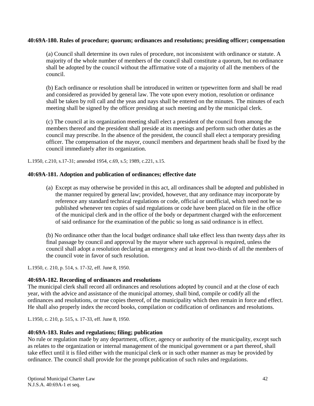#### **40:69A-180. Rules of procedure; quorum; ordinances and resolutions; presiding officer; compensation**

(a) Council shall determine its own rules of procedure, not inconsistent with ordinance or statute. A majority of the whole number of members of the council shall constitute a quorum, but no ordinance shall be adopted by the council without the affirmative vote of a majority of all the members of the council.

(b) Each ordinance or resolution shall be introduced in written or typewritten form and shall be read and considered as provided by general law. The vote upon every motion, resolution or ordinance shall be taken by roll call and the yeas and nays shall be entered on the minutes. The minutes of each meeting shall be signed by the officer presiding at such meeting and by the municipal clerk.

(c) The council at its organization meeting shall elect a president of the council from among the members thereof and the president shall preside at its meetings and perform such other duties as the council may prescribe. In the absence of the president, the council shall elect a temporary presiding officer. The compensation of the mayor, council members and department heads shall be fixed by the council immediately after its organization.

L.1950, c.210, s.17-31; amended 1954, c.69, s.5; 1989, c.221, s.15.

#### **40:69A-181. Adoption and publication of ordinances; effective date**

(a) Except as may otherwise be provided in this act, all ordinances shall be adopted and published in the manner required by general law; provided, however, that any ordinance may incorporate by reference any standard technical regulations or code, official or unofficial, which need not be so published whenever ten copies of said regulations or code have been placed on file in the office of the municipal clerk and in the office of the body or department charged with the enforcement of said ordinance for the examination of the public so long as said ordinance is in effect.

(b) No ordinance other than the local budget ordinance shall take effect less than twenty days after its final passage by council and approval by the mayor where such approval is required, unless the council shall adopt a resolution declaring an emergency and at least two-thirds of all the members of the council vote in favor of such resolution.

L.1950, c. 210, p. 514, s. 17-32, eff. June 8, 1950.

#### **40:69A-182. Recording of ordinances and resolutions**

The municipal clerk shall record all ordinances and resolutions adopted by council and at the close of each year, with the advice and assistance of the municipal attorney, shall bind, compile or codify all the ordinances and resolutions, or true copies thereof, of the municipality which then remain in force and effect. He shall also properly index the record books, compilation or codification of ordinances and resolutions.

L.1950, c. 210, p. 515, s. 17-33, eff. June 8, 1950.

#### **40:69A-183. Rules and regulations; filing; publication**

No rule or regulation made by any department, officer, agency or authority of the municipality, except such as relates to the organization or internal management of the municipal government or a part thereof, shall take effect until it is filed either with the municipal clerk or in such other manner as may be provided by ordinance. The council shall provide for the prompt publication of such rules and regulations.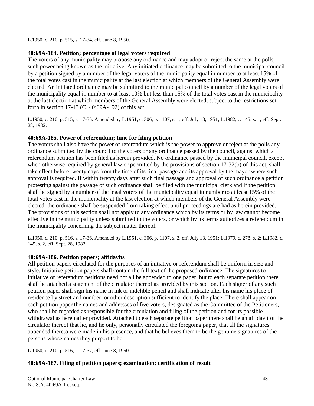L.1950, c. 210, p. 515, s. 17-34, eff. June 8, 1950.

# **40:69A-184. Petition; percentage of legal voters required**

The voters of any municipality may propose any ordinance and may adopt or reject the same at the polls, such power being known as the initiative. Any initiated ordinance may be submitted to the municipal council by a petition signed by a number of the legal voters of the municipality equal in number to at least 15% of the total votes cast in the municipality at the last election at which members of the General Assembly were elected. An initiated ordinance may be submitted to the municipal council by a number of the legal voters of the municipality equal in number to at least 10% but less than 15% of the total votes cast in the municipality at the last election at which members of the General Assembly were elected, subject to the restrictions set forth in section 17-43 (C. 40:69A-192) of this act.

L.1950, c. 210, p. 515, s. 17-35. Amended by L.1951, c. 306, p. 1107, s. 1, eff. July 13, 1951; L.1982, c. 145, s. 1, eff. Sept. 28, 1982.

# **40:69A-185. Power of referendum; time for filing petition**

The voters shall also have the power of referendum which is the power to approve or reject at the polls any ordinance submitted by the council to the voters or any ordinance passed by the council, against which a referendum petition has been filed as herein provided. No ordinance passed by the municipal council, except when otherwise required by general law or permitted by the provisions of section 17-32(b) of this act, shall take effect before twenty days from the time of its final passage and its approval by the mayor where such approval is required. If within twenty days after such final passage and approval of such ordinance a petition protesting against the passage of such ordinance shall be filed with the municipal clerk and if the petition shall be signed by a number of the legal voters of the municipality equal in number to at least 15% of the total votes cast in the municipality at the last election at which members of the General Assembly were elected, the ordinance shall be suspended from taking effect until proceedings are had as herein provided. The provisions of this section shall not apply to any ordinance which by its terms or by law cannot become effective in the municipality unless submitted to the voters, or which by its terms authorizes a referendum in the municipality concerning the subject matter thereof.

L.1950, c. 210, p. 516, s. 17-36. Amended by L.1951, c. 306, p. 1107, s. 2, eff. July 13, 1951; L.1979, c. 278, s. 2; L.1982, c. 145, s. 2, eff. Sept. 28, 1982.

#### **40:69A-186. Petition papers; affidavits**

All petition papers circulated for the purposes of an initiative or referendum shall be uniform in size and style. Initiative petition papers shall contain the full text of the proposed ordinance. The signatures to initiative or referendum petitions need not all be appended to one paper, but to each separate petition there shall be attached a statement of the circulator thereof as provided by this section. Each signer of any such petition paper shall sign his name in ink or indelible pencil and shall indicate after his name his place of residence by street and number, or other description sufficient to identify the place. There shall appear on each petition paper the names and addresses of five voters, designated as the Committee of the Petitioners, who shall be regarded as responsible for the circulation and filing of the petition and for its possible withdrawal as hereinafter provided. Attached to each separate petition paper there shall be an affidavit of the circulator thereof that he, and he only, personally circulated the foregoing paper, that all the signatures appended thereto were made in his presence, and that he believes them to be the genuine signatures of the persons whose names they purport to be.

L.1950, c. 210, p. 516, s. 17-37, eff. June 8, 1950.

#### **40:69A-187. Filing of petition papers; examination; certification of result**

Optional Municipal Charter Law 43 N.J.S.A. 40:69A-1 et seq.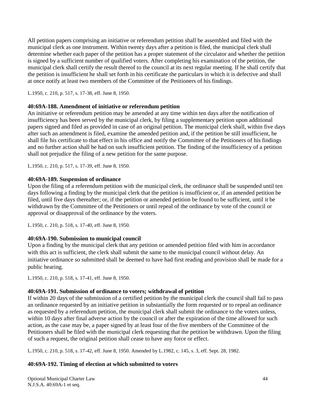All petition papers comprising an initiative or referendum petition shall be assembled and filed with the municipal clerk as one instrument. Within twenty days after a petition is filed, the municipal clerk shall determine whether each paper of the petition has a proper statement of the circulator and whether the petition is signed by a sufficient number of qualified voters. After completing his examination of the petition, the municipal clerk shall certify the result thereof to the council at its next regular meeting. If he shall certify that the petition is insufficient he shall set forth in his certificate the particulars in which it is defective and shall at once notify at least two members of the Committee of the Petitioners of his findings.

L.1950, c. 210, p. 517, s. 17-38, eff. June 8, 1950.

#### **40:69A-188. Amendment of initiative or referendum petition**

An initiative or referendum petition may be amended at any time within ten days after the notification of insufficiency has been served by the municipal clerk, by filing a supplementary petition upon additional papers signed and filed as provided in case of an original petition. The municipal clerk shall, within five days after such an amendment is filed, examine the amended petition and, if the petition be still insufficient, he shall file his certificate to that effect in his office and notify the Committee of the Petitioners of his findings and no further action shall be had on such insufficient petition. The finding of the insufficiency of a petition shall not prejudice the filing of a new petition for the same purpose.

L.1950, c. 210, p. 517, s. 17-39, eff. June 8, 1950.

# **40:69A-189. Suspension of ordinance**

Upon the filing of a referendum petition with the municipal clerk, the ordinance shall be suspended until ten days following a finding by the municipal clerk that the petition is insufficient or, if an amended petition be filed, until five days thereafter; or, if the petition or amended petition be found to be sufficient, until it be withdrawn by the Committee of the Petitioners or until repeal of the ordinance by vote of the council or approval or disapproval of the ordinance by the voters.

L.1950, c. 210, p. 518, s. 17-40, eff. June 8, 1950.

# **40:69A-190. Submission to municipal council**

Upon a finding by the municipal clerk that any petition or amended petition filed with him in accordance with this act is sufficient, the clerk shall submit the same to the municipal council without delay. An initiative ordinance so submitted shall be deemed to have had first reading and provision shall be made for a public hearing.

L.1950, c. 210, p. 518, s. 17-41, eff. June 8, 1950.

# **40:69A-191. Submission of ordinance to voters; withdrawal of petition**

If within 20 days of the submission of a certified petition by the municipal clerk the council shall fail to pass an ordinance requested by an initiative petition in substantially the form requested or to repeal an ordinance as requested by a referendum petition, the municipal clerk shall submit the ordinance to the voters unless, within 10 days after final adverse action by the council or after the expiration of the time allowed for such action, as the case may be, a paper signed by at least four of the five members of the Committee of the Petitioners shall be filed with the municipal clerk requesting that the petition be withdrawn. Upon the filing of such a request, the original petition shall cease to have any force or effect.

L.1950, c. 210, p. 518, s. 17-42, eff. June 8, 1950. Amended by L.1982, c. 145, s. 3, eff. Sept. 28, 1982.

#### **40:69A-192. Timing of election at which submitted to voters**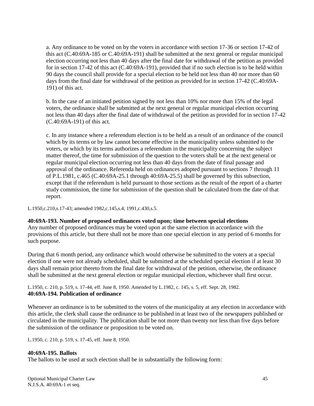a. Any ordinance to be voted on by the voters in accordance with section 17-36 or section 17-42 of this act (C.40:69A-185 or C.40:69A-191) shall be submitted at the next general or regular municipal election occurring not less than 40 days after the final date for withdrawal of the petition as provided for in section 17-42 of this act (C.40:69A-191), provided that if no such election is to be held within 90 days the council shall provide for a special election to be held not less than 40 nor more than 60 days from the final date for withdrawal of the petition as provided for in section 17-42 (C.40:69A-191) of this act.

b. In the case of an initiated petition signed by not less than 10% nor more than 15% of the legal voters, the ordinance shall be submitted at the next general or regular municipal election occurring not less than 40 days after the final date of withdrawal of the petition as provided for in section 17-42 (C.40:69A-191) of this act.

c. In any instance where a referendum election is to be held as a result of an ordinance of the council which by its terms or by law cannot become effective in the municipality unless submitted to the voters, or which by its terms authorizes a referendum in the municipality concerning the subject matter thereof, the time for submission of the question to the voters shall be at the next general or regular municipal election occurring not less than 40 days from the date of final passage and approval of the ordinance. Referenda held on ordinances adopted pursuant to sections 7 through 11 of P.L.1981, c.465 (C.40:69A-25.1 through 40:69A-25.5) shall be governed by this subsection, except that if the referendum is held pursuant to those sections as the result of the report of a charter study commission, the time for submission of the question shall be calculated from the date of that report.

L.1950,c.210,s.17-43; amended 1982,c.145,s.4; 1991,c.430,s.5.

#### **40:69A-193. Number of proposed ordinances voted upon; time between special elections**

Any number of proposed ordinances may be voted upon at the same election in accordance with the provisions of this article, but there shall not be more than one special election in any period of 6 months for such purpose.

During that 6 month period, any ordinance which would otherwise be submitted to the voters at a special election if one were not already scheduled, shall be submitted at the scheduled special election if at least 30 days shall remain prior thereto from the final date for withdrawal of the petition, otherwise, the ordinance shall be submitted at the next general election or regular municipal election, whichever shall first occur.

L.1950, c. 210, p. 519, s. 17-44, eff. June 8, 1950. Amended by L.1982, c. 145, s. 5, eff. Sept. 28, 1982. **40:69A-194. Publication of ordinance** 

Whenever an ordinance is to be submitted to the voters of the municipality at any election in accordance with this article, the clerk shall cause the ordinance to be published in at least two of the newspapers published or circulated in the municipality. The publication shall be not more than twenty nor less than five days before the submission of the ordinance or proposition to be voted on.

L.1950, c. 210, p. 519, s. 17-45, eff. June 8, 1950.

#### **40:69A-195. Ballots**

The ballots to be used at such election shall be in substantially the following form: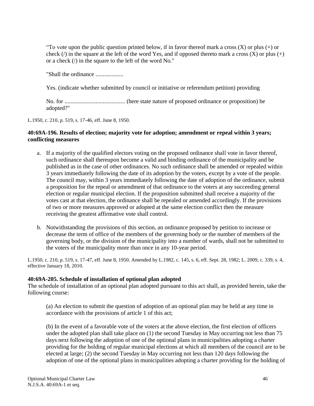"To vote upon the public question printed below, if in favor thereof mark a cross  $(X)$  or plus  $(+)$  or check ( $\ell$ ) in the square at the left of the word Yes, and if opposed thereto mark a cross (X) or plus (+) or a check (/) in the square to the left of the word No."

"Shall the ordinance ...................

Yes. (indicate whether submitted by council or initiative or referendum petition) providing

No. for ......................................... (here state nature of proposed ordinance or proposition) be adopted?"

L.1950, c. 210, p. 519, s. 17-46, eff. June 8, 1950.

#### **40:69A-196. Results of election; majority vote for adoption; amendment or repeal within 3 years; conflicting measures**

- a. If a majority of the qualified electors voting on the proposed ordinance shall vote in favor thereof, such ordinance shall thereupon become a valid and binding ordinance of the municipality and be published as in the case of other ordinances. No such ordinance shall be amended or repealed within 3 years immediately following the date of its adoption by the voters, except by a vote of the people. The council may, within 3 years immediately following the date of adoption of the ordinance, submit a proposition for the repeal or amendment of that ordinance to the voters at any succeeding general election or regular municipal election. If the proposition submitted shall receive a majority of the votes cast at that election, the ordinance shall be repealed or amended accordingly. If the provisions of two or more measures approved or adopted at the same election conflict then the measure receiving the greatest affirmative vote shall control.
- b. Notwithstanding the provisions of this section, an ordinance proposed by petition to increase or decrease the term of office of the members of the governing body or the number of members of the governing body, or the division of the municipality into a number of wards, shall not be submitted to the voters of the municipality more than once in any 10-year period.

L.1950, c. 210, p. 519, s. 17-47, eff. June 8, 1950. Amended by L.1982, c. 145, s. 6, eff. Sept. 28, 1982; L. 2009, c. 339, s. 4, effective January 18, 2010.

#### **40:69A-205. Schedule of installation of optional plan adopted**

The schedule of installation of an optional plan adopted pursuant to this act shall, as provided herein, take the following course:

(a) An election to submit the question of adoption of an optional plan may be held at any time in accordance with the provisions of article 1 of this act;

(b) In the event of a favorable vote of the voters at the above election, the first election of officers under the adopted plan shall take place on (1) the second Tuesday in May occurring not less than 75 days next following the adoption of one of the optional plans in municipalities adopting a charter providing for the holding of regular municipal elections at which all members of the council are to be elected at large; (2) the second Tuesday in May occurring not less than 120 days following the adoption of one of the optional plans in municipalities adopting a charter providing for the holding of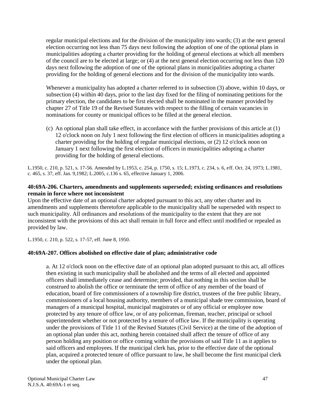regular municipal elections and for the division of the municipality into wards; (3) at the next general election occurring not less than 75 days next following the adoption of one of the optional plans in municipalities adopting a charter providing for the holding of general elections at which all members of the council are to be elected at large; or (4) at the next general election occurring not less than 120 days next following the adoption of one of the optional plans in municipalities adopting a charter providing for the holding of general elections and for the division of the municipality into wards.

Whenever a municipality has adopted a charter referred to in subsection (3) above, within 10 days, or subsection (4) within 40 days, prior to the last day fixed for the filing of nominating petitions for the primary election, the candidates to be first elected shall be nominated in the manner provided by chapter 27 of Title 19 of the Revised Statutes with respect to the filling of certain vacancies in nominations for county or municipal offices to be filled at the general election.

(c) An optional plan shall take effect, in accordance with the further provisions of this article at (1) 12 o'clock noon on July 1 next following the first election of officers in municipalities adopting a charter providing for the holding of regular municipal elections, or (2) 12 o'clock noon on January 1 next following the first election of officers in municipalities adopting a charter providing for the holding of general elections.

L.1950, c. 210, p. 521, s. 17-56. Amended by L.1953, c. 254, p. 1750, s. 15; L.1973, c. 234, s. 6, eff. Oct. 24, 1973; L.1981, c. 465, s. 37, eff. Jan. 9,1982; L.2005, c.136 s. 65, effective January 1, 2006.

# **40:69A-206. Charters, amendments and supplements superseded; existing ordinances and resolutions remain in force where not inconsistent**

Upon the effective date of an optional charter adopted pursuant to this act, any other charter and its amendments and supplements theretofore applicable to the municipality shall be superseded with respect to such municipality. All ordinances and resolutions of the municipality to the extent that they are not inconsistent with the provisions of this act shall remain in full force and effect until modified or repealed as provided by law.

L.1950, c. 210, p. 522, s. 17-57, eff. June 8, 1950.

# **40:69A-207. Offices abolished on effective date of plan; administrative code**

a. At 12 o'clock noon on the effective date of an optional plan adopted pursuant to this act, all offices then existing in such municipality shall be abolished and the terms of all elected and appointed officers shall immediately cease and determine; provided, that nothing in this section shall be construed to abolish the office or terminate the term of office of any member of the board of education, board of fire commissioners of a township fire district, trustees of the free public library, commissioners of a local housing authority, members of a municipal shade tree commission, board of managers of a municipal hospital, municipal magistrates or of any official or employee now protected by any tenure of office law, or of any policeman, fireman, teacher, principal or school superintendent whether or not protected by a tenure of office law. If the municipality is operating under the provisions of Title 11 of the Revised Statutes (Civil Service) at the time of the adoption of an optional plan under this act, nothing herein contained shall affect the tenure of office of any person holding any position or office coming within the provisions of said Title 11 as it applies to said officers and employees. If the municipal clerk has, prior to the effective date of the optional plan, acquired a protected tenure of office pursuant to law, he shall become the first municipal clerk under the optional plan.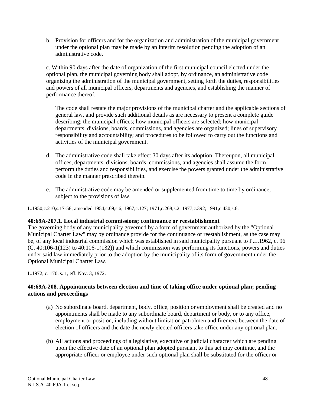b. Provision for officers and for the organization and administration of the municipal government under the optional plan may be made by an interim resolution pending the adoption of an administrative code.

c. Within 90 days after the date of organization of the first municipal council elected under the optional plan, the municipal governing body shall adopt, by ordinance, an administrative code organizing the administration of the municipal government, setting forth the duties, responsibilities and powers of all municipal officers, departments and agencies, and establishing the manner of performance thereof.

The code shall restate the major provisions of the municipal charter and the applicable sections of general law, and provide such additional details as are necessary to present a complete guide describing: the municipal offices; how municipal officers are selected; how municipal departments, divisions, boards, commissions, and agencies are organized; lines of supervisory responsibility and accountability; and procedures to be followed to carry out the functions and activities of the municipal government.

- d. The administrative code shall take effect 30 days after its adoption. Thereupon, all municipal offices, departments, divisions, boards, commissions, and agencies shall assume the form, perform the duties and responsibilities, and exercise the powers granted under the administrative code in the manner prescribed therein.
- e. The administrative code may be amended or supplemented from time to time by ordinance, subject to the provisions of law.

L.1950,c.210,s.17-58; amended 1954,c.69,s.6; 1967,c.127; 1971,c.268,s.2; 1977,c.392; 1991,c.430,s.6.

#### **40:69A-207.1. Local industrial commissions; continuance or reestablishment**

The governing body of any municipality governed by a form of government authorized by the "Optional Municipal Charter Law" may by ordinance provide for the continuance or reestablishment, as the case may be, of any local industrial commission which was established in said municipality pursuant to P.L.1962, c. 96 (C. 40:106-1(123) to 40:106-1(132)) and which commission was performing its functions, powers and duties under said law immediately prior to the adoption by the municipality of its form of government under the Optional Municipal Charter Law.

L.1972, c. 170, s. 1, eff. Nov. 3, 1972.

#### **40:69A-208. Appointments between election and time of taking office under optional plan; pending actions and proceedings**

- (a) No subordinate board, department, body, office, position or employment shall be created and no appointments shall be made to any subordinate board, department or body, or to any office, employment or position, including without limitation patrolmen and firemen, between the date of election of officers and the date the newly elected officers take office under any optional plan.
- (b) All actions and proceedings of a legislative, executive or judicial character which are pending upon the effective date of an optional plan adopted pursuant to this act may continue, and the appropriate officer or employee under such optional plan shall be substituted for the officer or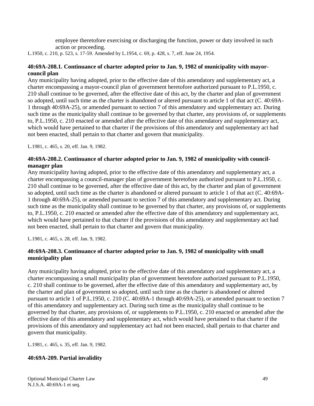employee theretofore exercising or discharging the function, power or duty involved in such action or proceeding.

L.1950, c. 210, p. 523, s. 17-59. Amended by L.1954, c. 69, p. 428, s. 7, eff. June 24, 1954.

# **40:69A-208.1. Continuance of charter adopted prior to Jan. 9, 1982 of municipality with mayorcouncil plan**

Any municipality having adopted, prior to the effective date of this amendatory and supplementary act, a charter encompassing a mayor-council plan of government heretofore authorized pursuant to P.L.1950, c. 210 shall continue to be governed, after the effective date of this act, by the charter and plan of government so adopted, until such time as the charter is abandoned or altered pursuant to article 1 of that act (C. 40:69A-1 through 40:69A-25), or amended pursuant to section 7 of this amendatory and supplementary act. During such time as the municipality shall continue to be governed by that charter, any provisions of, or supplements to, P.L.1950, c. 210 enacted or amended after the effective date of this amendatory and supplementary act, which would have pertained to that charter if the provisions of this amendatory and supplementary act had not been enacted, shall pertain to that charter and govern that municipality.

L.1981, c. 465, s. 20, eff. Jan. 9, 1982.

# **40:69A-208.2. Continuance of charter adopted prior to Jan. 9, 1982 of municipality with councilmanager plan**

Any municipality having adopted, prior to the effective date of this amendatory and supplementary act, a charter encompassing a council-manager plan of government heretofore authorized pursuant to P.L.1950, c. 210 shall continue to be governed, after the effective date of this act, by the charter and plan of government so adopted, until such time as the charter is abandoned or altered pursuant to article 1 of that act (C. 40:69A-1 through 40:69A-25), or amended pursuant to section 7 of this amendatory and supplementary act. During such time as the municipality shall continue to be governed by that charter, any provisions of, or supplements to, P.L.1950, c. 210 enacted or amended after the effective date of this amendatory and supplementary act, which would have pertained to that charter if the provisions of this amendatory and supplementary act had not been enacted, shall pertain to that charter and govern that municipality.

L.1981, c. 465, s. 28, eff. Jan. 9, 1982.

# **40:69A-208.3. Continuance of charter adopted prior to Jan. 9, 1982 of municipality with small municipality plan**

Any municipality having adopted, prior to the effective date of this amendatory and supplementary act, a charter encompassing a small municipality plan of government heretofore authorized pursuant to P.L.1950, c. 210 shall continue to be governed, after the effective date of this amendatory and supplementary act, by the charter and plan of government so adopted, until such time as the charter is abandoned or altered pursuant to article 1 of P.L.1950, c. 210 (C. 40:69A-1 through 40:69A-25), or amended pursuant to section 7 of this amendatory and supplementary act. During such time as the municipality shall continue to be governed by that charter, any provisions of, or supplements to P.L.1950, c. 210 enacted or amended after the effective date of this amendatory and supplementary act, which would have pertained to that charter if the provisions of this amendatory and supplementary act had not been enacted, shall pertain to that charter and govern that municipality.

L.1981, c. 465, s. 35, eff. Jan. 9, 1982.

# **40:69A-209. Partial invalidity**